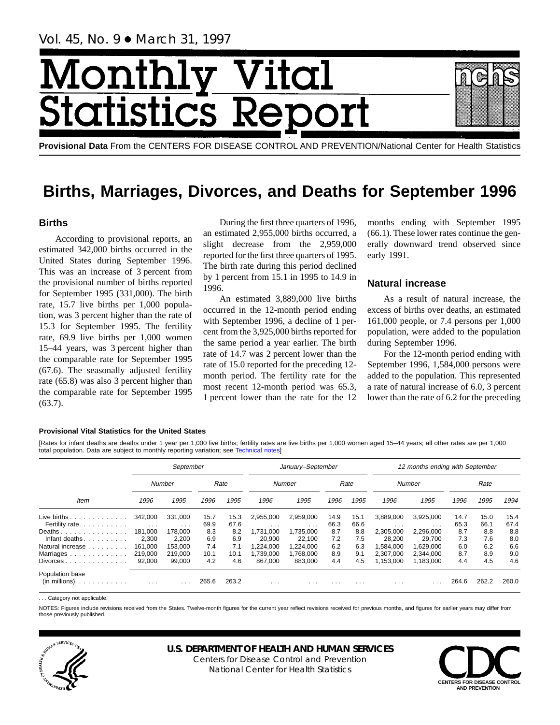# Month Vital tics R itatist

**Provisional Data** From the CENTERS FOR DISEASE CONTROL AND PREVENTION/National Center for Health Statistics

## **Births, Marriages, Divorces, and Deaths for September 1996**

## **Births**

According to provisional reports, an estimated 342,000 births occurred in the United States during September 1996. This was an increase of 3 percent from the provisional number of births reported for September 1995 (331,000). The birth rate, 15.7 live births per 1,000 population, was 3 percent higher than the rate of 15.3 for September 1995. The fertility rate, 69.9 live births per 1,000 women 15–44 years, was 3 percent higher than the comparable rate for September 1995 (67.6). The seasonally adjusted fertility rate (65.8) was also 3 percent higher than the comparable rate for September 1995 (63.7).

During the first three quarters of 1996, an estimated 2,955,000 births occurred, a slight decrease from the 2,959,000 reported for the first three quarters of 1995. The birth rate during this period declined by 1 percent from 15.1 in 1995 to 14.9 in 1996.

An estimated 3,889,000 live births occurred in the 12-month period ending with September 1996, a decline of 1 percent from the 3,925,000 births reported for the same period a year earlier. The birth rate of 14.7 was 2 percent lower than the rate of 15.0 reported for the preceding 12 month period. The fertility rate for the most recent 12-month period was 65.3, 1 percent lower than the rate for the 12

months ending with September 1995 (66.1). These lower rates continue the generally downward trend observed since early 1991.

## **Natural increase**

As a result of natural increase, the excess of births over deaths, an estimated 161,000 people, or 7.4 persons per 1,000 population, were added to the population during September 1996.

For the 12-month period ending with September 1996, 1,584,000 persons were added to the population. This represented a rate of natural increase of 6.0, 3 percent lower than the rate of 6.2 for the preceding

#### **Provisional Vital Statistics for the United States**

[Rates for infant deaths are deaths under 1 year per 1,000 live births; fertility rates are live births per 1,000 women aged 15–44 years; all other rates are per 1,000 total population. Data are subject to monthly reporting variation; see [Technical notes\]](#page-16-0)

|                                                         |                                 | September           |              |              |                                      | January-September                    |              |              |                                 | 12 months ending with September |              |              |              |
|---------------------------------------------------------|---------------------------------|---------------------|--------------|--------------|--------------------------------------|--------------------------------------|--------------|--------------|---------------------------------|---------------------------------|--------------|--------------|--------------|
|                                                         |                                 | Number              |              | Rate         |                                      | Number                               |              | Rate         |                                 | Number                          |              | Rate         |              |
| <b>Item</b>                                             | 1996                            | 1995                | 1996         | 1995         | 1996                                 | 1995                                 | 1996         | 1995         | 1996                            | 1995                            | 1996         | 1995         | 1994         |
| Live births $\ldots$<br>Fertility rate.                 | 342.000<br>$\sim$ $\sim$ $\sim$ | 331.000<br>$\cdots$ | 15.7<br>69.9 | 15.3<br>67.6 | 2,955,000<br>$\cdot$ $\cdot$ $\cdot$ | 2,959,000<br>$\cdot$ $\cdot$ $\cdot$ | 14.9<br>66.3 | 15.1<br>66.6 | 3,889,000                       | 3,925,000<br>$\cdots$           | 14.7<br>65.3 | 15.0<br>66.1 | 15.4<br>67.4 |
| Deaths<br>Infant deaths                                 | 181.000<br>2.300                | 178,000<br>2.200    | 8.3<br>6.9   | 8.2<br>6.9   | 1.731.000<br>20,900                  | 1.735.000<br>22.100                  | 8.7<br>7.2   | 8.8<br>7.5   | $\cdots$<br>2.305.000<br>28.200 | 2.296.000<br>29.700             | 8.7<br>7.3   | 8.8<br>7.6   | 8.8<br>8.0   |
| Natural increase<br>Marriages                           | 161.000<br>219,000              | 153.000<br>219.000  | 7.4<br>10.1  | 7.1<br>10.1  | .224.000<br>1.739.000                | 1.224.000<br>1,768,000               | 6.2<br>8.9   | 6.3<br>9.1   | 1.584.000<br>2,307,000          | 1.629.000<br>2.344.000          | 6.0<br>8.7   | 6.2<br>8.9   | 6.6<br>9.0   |
| $Divorces \ldots \ldots \ldots \ldots$                  | 92.000                          | 99.000              | 4.2          | 4.6          | 867.000                              | 883.000                              | 4.4          | 4.5          | 1,153,000                       | 1,183,000                       | 4.4          | 4.5          | 4.6          |
| Population base<br>$(in$ millions $) \dots \dots \dots$ | $\cdot$ $\cdot$ $\cdot$         |                     | 265.6        | 263.2        | $\cdots$                             | $\cdots$                             | .            | .            | $\cdots$                        |                                 | 264.6        | 262.2        | 260.0        |

.. Category not applicable

NOTES: Figures include revisions received from the States. Twelve-month figures for the current year reflect revisions received for previous months, and figures for earlier years may differ from those previously published.



## **U.S. DEPARTMENT OF HEALTH AND HUMAN SERVICES**

Centers for Disease Control and Prevention National Center for Health Statistics

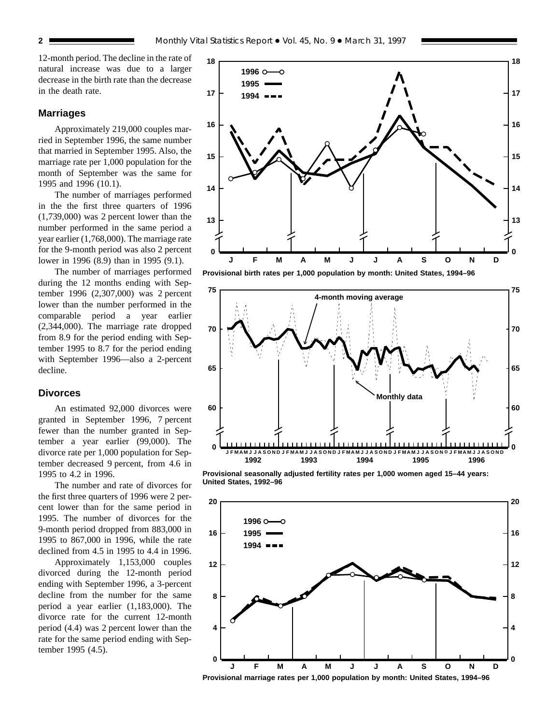12-month period. The decline in the rate of natural increase was due to a larger decrease in the birth rate than the decrease in the death rate.

#### **Marriages**

Approximately 219,000 couples married in September 1996, the same number that married in September 1995. Also, the marriage rate per 1,000 population for the month of September was the same for 1995 and 1996 (10.1).

The number of marriages performed in the the first three quarters of 1996 (1,739,000) was 2 percent lower than the number performed in the same period a year earlier (1,768,000). The marriage rate for the 9-month period was also 2 percent lower in 1996 (8.9) than in 1995 (9.1).

The number of marriages performed during the 12 months ending with September 1996 (2,307,000) was 2 percent lower than the number performed in the comparable period a year earlier (2,344,000). The marriage rate dropped from 8.9 for the period ending with September 1995 to 8.7 for the period ending with September 1996—also a 2-percent decline.

## **Divorces**

An estimated 92,000 divorces were granted in September 1996, 7 percent fewer than the number granted in September a year earlier (99,000). The divorce rate per 1,000 population for September decreased 9 percent, from 4.6 in 1995 to 4.2 in 1996.

The number and rate of divorces for the first three quarters of 1996 were 2 percent lower than for the same period in 1995. The number of divorces for the 9-month period dropped from 883,000 in 1995 to 867,000 in 1996, while the rate declined from 4.5 in 1995 to 4.4 in 1996.

Approximately 1,153,000 couples divorced during the 12-month period ending with September 1996, a 3-percent decline from the number for the same period a year earlier (1,183,000). The divorce rate for the current 12-month period (4.4) was 2 percent lower than the rate for the same period ending with September 1995 (4.5).



**Provisional birth rates per 1,000 population by month: United States, 1994–96**



**Provisional seasonally adjusted fertility rates per 1,000 women aged 15–44 years: United States, 1992–96**



**Provisional marriage rates per 1,000 population by month: United States, 1994–96**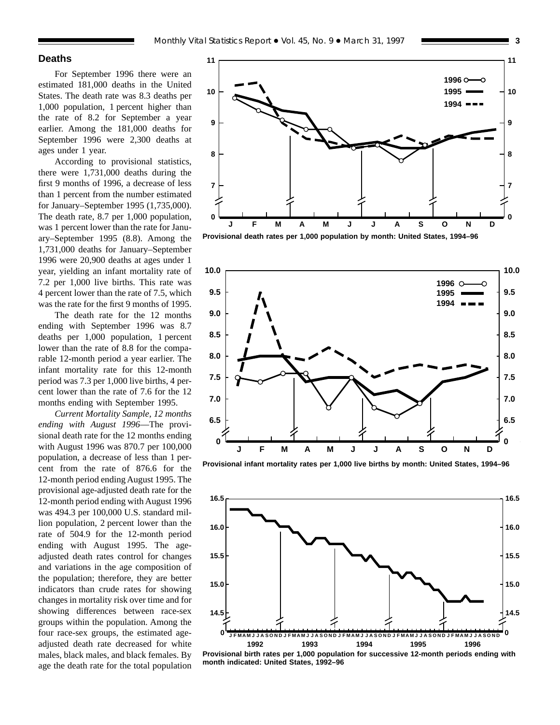## **Deaths**

For September 1996 there were an estimated 181,000 deaths in the United States. The death rate was 8.3 deaths per 1,000 population, 1 percent higher than the rate of 8.2 for September a year earlier. Among the 181,000 deaths for September 1996 were 2,300 deaths at ages under 1 year.

According to provisional statistics, there were 1,731,000 deaths during the first 9 months of 1996, a decrease of less than 1 percent from the number estimated for January–September 1995 (1,735,000). The death rate, 8.7 per 1,000 population, was 1 percent lower than the rate for January–September 1995 (8.8). Among the 1,731,000 deaths for January–September 1996 were 20,900 deaths at ages under 1 year, yielding an infant mortality rate of 7.2 per 1,000 live births. This rate was 4 percent lower than the rate of 7.5, which was the rate for the first 9 months of 1995.

The death rate for the 12 months ending with September 1996 was 8.7 deaths per 1,000 population, 1 percent lower than the rate of 8.8 for the comparable 12-month period a year earlier. The infant mortality rate for this 12-month period was 7.3 per 1,000 live births, 4 percent lower than the rate of 7.6 for the 12 months ending with September 1995.

*Current Mortality Sample, 12 months ending with August 1996*—The provisional death rate for the 12 months ending with August 1996 was 870.7 per 100,000 population, a decrease of less than 1 percent from the rate of 876.6 for the 12-month period ending August 1995. The provisional age-adjusted death rate for the 12-month period ending with August 1996 was 494.3 per 100,000 U.S. standard million population, 2 percent lower than the rate of 504.9 for the 12-month period ending with August 1995. The ageadjusted death rates control for changes and variations in the age composition of the population; therefore, they are better indicators than crude rates for showing changes in mortality risk over time and for showing differences between race-sex groups within the population. Among the four race-sex groups, the estimated ageadjusted death rate decreased for white males, black males, and black females. By age the death rate for the total population



**Provisional death rates per 1,000 population by month: United States, 1994–96**



**Provisional infant mortality rates per 1,000 live births by month: United States, 1994–96**



**Provisional birth rates per 1,000 population for successive 12-month periods ending with month indicated: United States, 1992–96**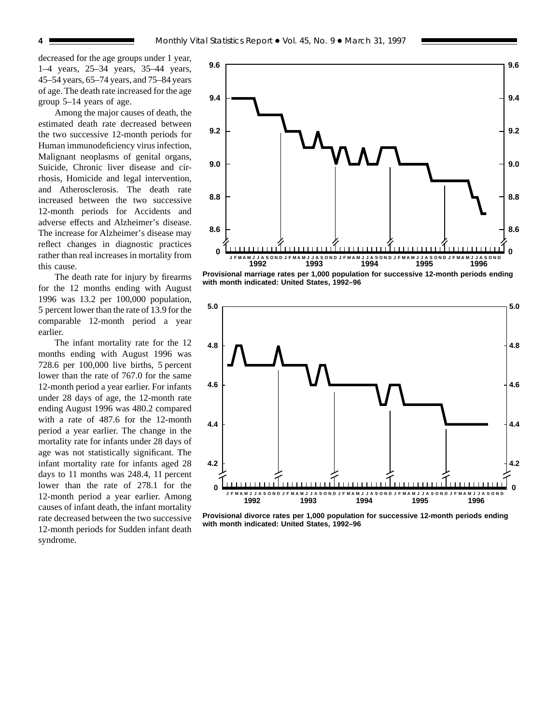decreased for the age groups under 1 year, 1–4 years, 25–34 years, 35–44 years, 45–54 years, 65–74 years, and 75–84 years of age. The death rate increased for the age group 5–14 years of age.

Among the major causes of death, the estimated death rate decreased between the two successive 12-month periods for Human immunodeficiency virus infection, Malignant neoplasms of genital organs, Suicide, Chronic liver disease and cirrhosis, Homicide and legal intervention, and Atherosclerosis. The death rate increased between the two successive 12-month periods for Accidents and adverse effects and Alzheimer's disease. The increase for Alzheimer's disease may reflect changes in diagnostic practices rather than real increases in mortality from this cause.

The death rate for injury by firearms for the 12 months ending with August 1996 was 13.2 per 100,000 population, 5 percent lower than the rate of 13.9 for the comparable 12-month period a year earlier.

The infant mortality rate for the 12 months ending with August 1996 was 728.6 per 100,000 live births, 5 percent lower than the rate of 767.0 for the same 12-month period a year earlier. For infants under 28 days of age, the 12-month rate ending August 1996 was 480.2 compared with a rate of 487.6 for the 12-month period a year earlier. The change in the mortality rate for infants under 28 days of age was not statistically significant. The infant mortality rate for infants aged 28 days to 11 months was 248.4, 11 percent lower than the rate of 278.1 for the 12-month period a year earlier. Among causes of infant death, the infant mortality rate decreased between the two successive 12-month periods for Sudden infant death syndrome.



**Provisional marriage rates per 1,000 population for successive 12-month periods ending with month indicated: United States, 1992–96**



**Provisional divorce rates per 1,000 population for successive 12-month periods ending with month indicated: United States, 1992–96**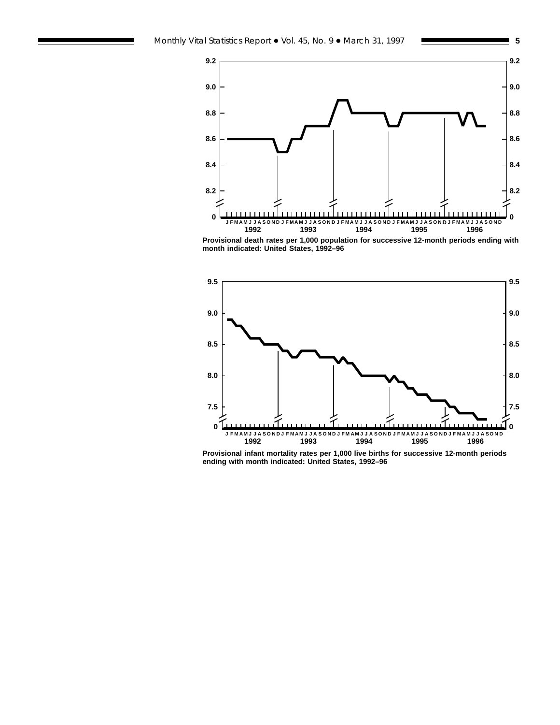



**Provisional death rates per 1,000 population for successive 12-month periods ending with month indicated: United States, 1992–96**



**Provisional infant mortality rates per 1,000 live births for successive 12-month periods ending with month indicated: United States, 1992–96**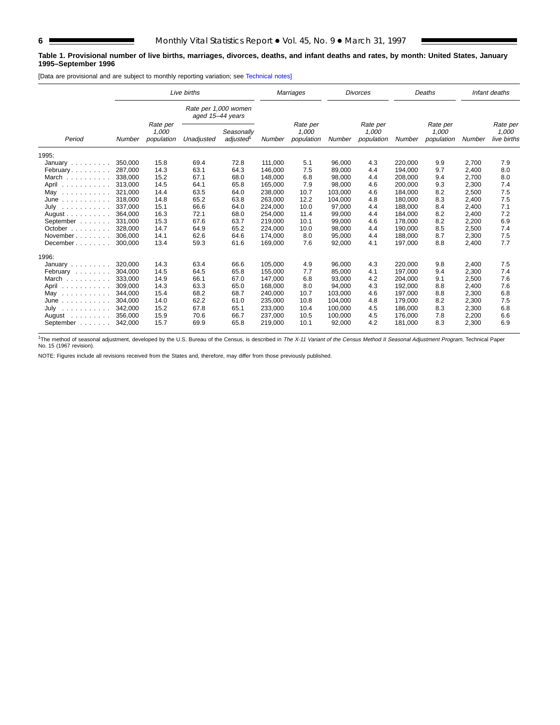#### **Table 1. Provisional number of live births, marriages, divorces, deaths, and infant deaths and rates, by month: United States, January 1995–September 1996**

[Data are provisional and are subject to monthly reporting variation; see [Technical notes\]](#page-16-0)

|                                                                        |         |                                 | Live births                              |                                     |         | Marriages                       |         | <b>Divorces</b>                 |         | Deaths                          |        | Infant deaths                    |
|------------------------------------------------------------------------|---------|---------------------------------|------------------------------------------|-------------------------------------|---------|---------------------------------|---------|---------------------------------|---------|---------------------------------|--------|----------------------------------|
|                                                                        |         |                                 | Rate per 1,000 women<br>aged 15-44 years |                                     |         |                                 |         |                                 |         |                                 |        |                                  |
| Period                                                                 | Number  | Rate per<br>1,000<br>population | Unadjusted                               | Seasonally<br>adjusted <sup>1</sup> | Number  | Rate per<br>1,000<br>population | Number  | Rate per<br>1,000<br>population | Number  | Rate per<br>1,000<br>population | Number | Rate per<br>1,000<br>live births |
| 1995:                                                                  |         |                                 |                                          |                                     |         |                                 |         |                                 |         |                                 |        |                                  |
| January                                                                | 350,000 | 15.8                            | 69.4                                     | 72.8                                | 111.000 | 5.1                             | 96,000  | 4.3                             | 220.000 | 9.9                             | 2,700  | 7.9                              |
| February                                                               | 287,000 | 14.3                            | 63.1                                     | 64.3                                | 146,000 | 7.5                             | 89,000  | 4.4                             | 194.000 | 9.7                             | 2,400  | 8.0                              |
| March                                                                  | 338.000 | 15.2                            | 67.1                                     | 68.0                                | 148,000 | 6.8                             | 98,000  | 4.4                             | 208,000 | 9.4                             | 2,700  | 8.0                              |
| April                                                                  | 313,000 | 14.5                            | 64.1                                     | 65.8                                | 165,000 | 7.9                             | 98,000  | 4.6                             | 200,000 | 9.3                             | 2,300  | 7.4                              |
| May                                                                    | 321.000 | 14.4                            | 63.5                                     | 64.0                                | 238,000 | 10.7                            | 103.000 | 4.6                             | 184.000 | 8.2                             | 2,500  | 7.5                              |
| June<br>.                                                              | 318,000 | 14.8                            | 65.2                                     | 63.8                                | 263,000 | 12.2                            | 104,000 | 4.8                             | 180,000 | 8.3                             | 2,400  | 7.5                              |
| July<br>.                                                              | 337.000 | 15.1                            | 66.6                                     | 64.0                                | 224,000 | 10.0                            | 97,000  | 4.4                             | 188.000 | 8.4                             | 2,400  | 7.1                              |
| August $\ldots$ , $\ldots$ , $\ldots$                                  | 364,000 | 16.3                            | 72.1                                     | 68.0                                | 254,000 | 11.4                            | 99,000  | 4.4                             | 184,000 | 8.2                             | 2,400  | 7.2                              |
| September                                                              | 331.000 | 15.3                            | 67.6                                     | 63.7                                | 219,000 | 10.1                            | 99,000  | 4.6                             | 178.000 | 8.2                             | 2,200  | 6.9                              |
| October                                                                | 328.000 | 14.7                            | 64.9                                     | 65.2                                | 224.000 | 10.0                            | 98.000  | 4.4                             | 190.000 | 8.5                             | 2,500  | 7.4                              |
| November                                                               | 306.000 | 14.1                            | 62.6                                     | 64.6                                | 174,000 | 8.0                             | 95,000  | 4.4                             | 188.000 | 8.7                             | 2,300  | 7.5                              |
| December                                                               | 300,000 | 13.4                            | 59.3                                     | 61.6                                | 169,000 | 7.6                             | 92,000  | 4.1                             | 197,000 | 8.8                             | 2,400  | 7.7                              |
| 1996:                                                                  |         |                                 |                                          |                                     |         |                                 |         |                                 |         |                                 |        |                                  |
| January                                                                | 320,000 | 14.3                            | 63.4                                     | 66.6                                | 105.000 | 4.9                             | 96,000  | 4.3                             | 220,000 | 9.8                             | 2,400  | 7.5                              |
| February                                                               | 304.000 | 14.5                            | 64.5                                     | 65.8                                | 155.000 | 7.7                             | 85.000  | 4.1                             | 197.000 | 9.4                             | 2,300  | 7.4                              |
| March                                                                  | 333.000 | 14.9                            | 66.1                                     | 67.0                                | 147,000 | 6.8                             | 93,000  | 4.2                             | 204,000 | 9.1                             | 2,500  | 7.6                              |
| April<br>.                                                             | 309,000 | 14.3                            | 63.3                                     | 65.0                                | 168,000 | 8.0                             | 94,000  | 4.3                             | 192,000 | 8.8                             | 2,400  | 7.6                              |
| May<br>.                                                               | 344,000 | 15.4                            | 68.2                                     | 68.7                                | 240,000 | 10.7                            | 103,000 | 4.6                             | 197,000 | 8.8                             | 2,300  | 6.8                              |
| June<br>.                                                              | 304,000 | 14.0                            | 62.2                                     | 61.0                                | 235,000 | 10.8                            | 104,000 | 4.8                             | 179,000 | 8.2                             | 2,300  | 7.5                              |
| July<br>$\mathcal{L}$ . The set of the set of the set of $\mathcal{L}$ | 342.000 | 15.2                            | 67.8                                     | 65.1                                | 233,000 | 10.4                            | 100,000 | 4.5                             | 186,000 | 8.3                             | 2,300  | 6.8                              |
| August<br>and a straight and                                           | 356,000 | 15.9                            | 70.6                                     | 66.7                                | 237,000 | 10.5                            | 100,000 | 4.5                             | 176,000 | 7.8                             | 2,200  | 6.6                              |
| September                                                              | 342,000 | 15.7                            | 69.9                                     | 65.8                                | 219,000 | 10.1                            | 92,000  | 4.2                             | 181,000 | 8.3                             | 2,300  | 6.9                              |

<sup>1</sup>The method of seasonal adjustment, developed by the U.S. Bureau of the Census, is described in The X-11 Variant of the Census Method II Seasonal Adjustment Program, Technical Paper No. 15 (1967 revision).

NOTE: Figures include all revisions received from the States and, therefore, may differ from those previously published.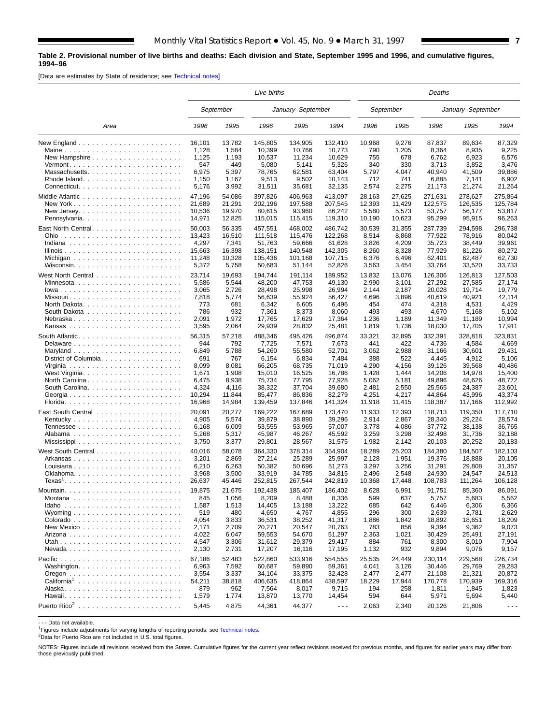#### <span id="page-6-0"></span>**Table 2. Provisional number of live births and deaths: Each division and State, September 1995 and 1996, and cumulative figures, 1994–96**

[Data are estimates by State of residence; see [Technical notes\]](#page-16-0)

|                                                                               | Live births                                       |                                                   |                                                         |                                                         |                                                          |                                              | Deaths                                       |                                                      |                                                      |                                                                |  |  |  |
|-------------------------------------------------------------------------------|---------------------------------------------------|---------------------------------------------------|---------------------------------------------------------|---------------------------------------------------------|----------------------------------------------------------|----------------------------------------------|----------------------------------------------|------------------------------------------------------|------------------------------------------------------|----------------------------------------------------------------|--|--|--|
|                                                                               |                                                   | September                                         |                                                         | January-September                                       |                                                          |                                              | September                                    |                                                      | January-September                                    |                                                                |  |  |  |
| Area                                                                          | 1996                                              | 1995                                              | 1996                                                    | 1995                                                    | 1994                                                     | 1996                                         | 1995                                         | 1996                                                 | 1995                                                 | 1994                                                           |  |  |  |
| New Hampshire<br>Massachusetts                                                | 16,101<br>1,128<br>1,125<br>547<br>6,975<br>1,150 | 13,782<br>1,584<br>1,193<br>449<br>5,397<br>1,167 | 145,805<br>10,399<br>10,537<br>5,080<br>78,765<br>9,513 | 134,905<br>10,766<br>11,234<br>5,141<br>62,581<br>9,502 | 132,410<br>10,773<br>10,629<br>5,326<br>63,404<br>10,143 | 10,968<br>790<br>755<br>340<br>5,797<br>712  | 9,276<br>1,205<br>678<br>330<br>4,047<br>741 | 87,837<br>8,364<br>6,762<br>3,713<br>40,940<br>6,885 | 89,634<br>8,935<br>6,923<br>3,852<br>41,509<br>7,141 | 87,329<br>9,225<br>6,576<br>3,476<br>39,886<br>6,902<br>21,264 |  |  |  |
| Pennsylvania                                                                  | 5,176<br>47,196<br>21,689<br>10,536<br>14,971     | 3,992<br>54,086<br>21,291<br>19,970<br>12,825     | 31,511<br>397,826<br>202,196<br>80,615<br>115,015       | 35,681<br>406,963<br>197,588<br>93,960<br>115,415       | 32,135<br>413,097<br>207,545<br>86,242<br>119,310        | 2,574<br>28,163<br>12,393<br>5,580<br>10,190 | 2,275<br>27,625<br>11,429<br>5,573<br>10,623 | 21,173<br>271,631<br>122,575<br>53,757<br>95,299     | 21,274<br>278.627<br>126,535<br>56,177<br>95,915     | 275,864<br>125,784<br>53,817<br>96,263                         |  |  |  |
|                                                                               | 50,003                                            | 56,335                                            | 457,551                                                 | 468,002                                                 | 486,742                                                  | 30,539                                       | 31,355                                       | 287,739                                              | 294,598                                              | 296,738                                                        |  |  |  |
|                                                                               | 13,423                                            | 16,510                                            | 111,518                                                 | 115,476                                                 | 122,268                                                  | 8,514                                        | 8,868                                        | 77,922                                               | 78,916                                               | 80,042                                                         |  |  |  |
|                                                                               | 4,297                                             | 7,341                                             | 51,763                                                  | 59,666                                                  | 61,628                                                   | 3,826                                        | 4,209                                        | 35,723                                               | 38,449                                               | 39,961                                                         |  |  |  |
|                                                                               | 15,663                                            | 16,398                                            | 138,151                                                 | 140,548                                                 | 142,305                                                  | 8,260                                        | 8,328                                        | 77,929                                               | 81,226                                               | 80,272                                                         |  |  |  |
|                                                                               | 11,248                                            | 10,328                                            | 105,436                                                 | 101,168                                                 | 107,715                                                  | 6,376                                        | 6,496                                        | 62,401                                               | 62,487                                               | 62,730                                                         |  |  |  |
|                                                                               | 5,372                                             | 5,758                                             | 50,683                                                  | 51,144                                                  | 52,826                                                   | 3,563                                        | 3,454                                        | 33,764                                               | 33,520                                               | 33,733                                                         |  |  |  |
|                                                                               | 23,714                                            | 19,693                                            | 194,744                                                 | 191,114                                                 | 189,952                                                  | 13,832                                       | 13,076                                       | 126,306                                              | 126,813                                              | 127,503                                                        |  |  |  |
|                                                                               | 5,586                                             | 5,544                                             | 48,200                                                  | 47,753                                                  | 49,130                                                   | 2,990                                        | 3,101                                        | 27,292                                               | 27,585                                               | 27,174                                                         |  |  |  |
|                                                                               | 3,065                                             | 2,726                                             | 28.498                                                  | 25,998                                                  | 26,994                                                   | 2,144                                        | 2,187                                        | 20,028                                               | 19,714                                               | 19,779                                                         |  |  |  |
| Missouri                                                                      | 7,818                                             | 5,774                                             | 56,639                                                  | 55,924                                                  | 56,427                                                   | 4,696                                        | 3,896                                        | 40.619                                               | 40,921                                               | 42,114                                                         |  |  |  |
| North Dakota. $\ldots$ , $\ldots$ , $\ldots$ , $\ldots$ , $\ldots$ , $\ldots$ | 773                                               | 681                                               | 6,342                                                   | 6,605                                                   | 6,496                                                    | 454                                          | 474                                          | 4,318                                                | 4,531                                                | 4,429                                                          |  |  |  |
|                                                                               | 786                                               | 932                                               | 7,361                                                   | 8,373                                                   | 8,060                                                    | 493                                          | 493                                          | 4,670                                                | 5,168                                                | 5,102                                                          |  |  |  |
| Nebraska                                                                      | 2,091                                             | 1,972                                             | 17,765                                                  | 17,629                                                  | 17,364                                                   | 1,236                                        | 1,189                                        | 11,349                                               | 11,189                                               | 10,994                                                         |  |  |  |
|                                                                               | 3,595                                             | 2,064                                             | 29.939                                                  | 28,832                                                  | 25,481                                                   | 1,819                                        | 1,736                                        | 18,030                                               | 17,705                                               | 17,911                                                         |  |  |  |
|                                                                               | 56,315                                            | 57,218                                            | 488,346                                                 | 495.426                                                 | 496,874                                                  | 33,321                                       | 32,895                                       | 332,391                                              | 328,818                                              | 323,831                                                        |  |  |  |
| Delaware                                                                      | 944                                               | 792                                               | 7,725                                                   | 7,571                                                   | 7,673                                                    | 441                                          | 422                                          | 4,736                                                | 4,584                                                | 4,669                                                          |  |  |  |
|                                                                               | 6,849                                             | 5,788                                             | 54,260                                                  | 55,580                                                  | 52,701                                                   | 3,062                                        | 2,988                                        | 31,166                                               | 30,601                                               | 29,431                                                         |  |  |  |
| District of Columbia                                                          | 691                                               | 767                                               | 6,154                                                   | 6,834                                                   | 7,484                                                    | 388                                          | 522                                          | 4,445                                                | 4,912                                                | 5,106                                                          |  |  |  |
|                                                                               | 8,099                                             | 8,081                                             | 66,205                                                  | 68,735                                                  | 71,019                                                   | 4,290                                        | 4,156                                        | 39,126                                               | 39,568                                               | 40,486                                                         |  |  |  |
|                                                                               | 1,671                                             | 1,908                                             | 15,010                                                  | 16,525                                                  | 16,786                                                   | 1,428                                        | 1,444                                        | 14,206                                               | 14,978                                               | 15,400                                                         |  |  |  |
| North Carolina                                                                | 6,475                                             | 8,938                                             | 75,734                                                  | 77,795                                                  | 77,928                                                   | 5,062                                        | 5,181                                        | 49,896                                               | 48,626                                               | 48,772                                                         |  |  |  |
|                                                                               | 4,324                                             | 4,116                                             | 38,322                                                  | 37,704                                                  | 39,680                                                   | 2,481                                        | 2,550                                        | 25,565                                               | 24,387                                               | 23,601                                                         |  |  |  |
| Georgia                                                                       | 10,294                                            | 11,844                                            | 85,477                                                  | 86,836                                                  | 82,279                                                   | 4,251                                        | 4,217                                        | 44,864                                               | 43,996                                               | 43,374                                                         |  |  |  |
|                                                                               | 16,968                                            | 14,984                                            | 139,459                                                 | 137,846                                                 | 141,324                                                  | 11,918                                       | 11,415                                       | 118,387                                              | 117,166                                              | 112,992                                                        |  |  |  |
|                                                                               | 20,091                                            | 20,277                                            | 169,222                                                 | 167,689                                                 | 173,470                                                  | 11,933                                       | 12,393                                       | 118,713                                              | 119,350                                              | 117,710                                                        |  |  |  |
|                                                                               | 4,905                                             | 5,574                                             | 39,879                                                  | 38,890                                                  | 39,296                                                   | 2,914                                        | 2,867                                        | 28,340                                               | 29,224                                               | 28,574                                                         |  |  |  |
|                                                                               | 6,168                                             | 6,009                                             | 53,555                                                  | 53,965                                                  | 57,007                                                   | 3,778                                        | 4,086                                        | 37,772                                               | 38,138                                               | 36,765                                                         |  |  |  |
|                                                                               | 5,268                                             | 5,317                                             | 45,987                                                  | 46,267                                                  | 45,592                                                   | 3,259                                        | 3,298                                        | 32,498                                               | 31,736                                               | 32,188                                                         |  |  |  |
|                                                                               | 3,750                                             | 3,377                                             | 29,801                                                  | 28,567                                                  | 31,575                                                   | 1,982                                        | 2,142                                        | 20,103                                               | 20,252                                               | 20,183                                                         |  |  |  |
|                                                                               | 40,016                                            | 58,078                                            | 364,330                                                 | 378,314                                                 | 354.904                                                  | 18,289                                       | 25,203                                       | 184,380                                              | 184,507                                              | 182,103                                                        |  |  |  |
| Arkansas                                                                      | 3,201                                             | 2,869                                             | 27,214                                                  | 25,289                                                  | 25,997                                                   | 2,128                                        | 1,951                                        | 19,376                                               | 18,888                                               | 20,105                                                         |  |  |  |
|                                                                               | 6,210                                             | 6,263                                             | 50,382                                                  | 50,696                                                  | 51,273                                                   | 3,297                                        | 3,256                                        | 31,291                                               | 29,808                                               | 31,357                                                         |  |  |  |
|                                                                               | 3,968                                             | 3,500                                             | 33,919                                                  | 34,785                                                  | 34,815                                                   | 2,496                                        | 2,548                                        | 24,930                                               | 24,547                                               | 24,513                                                         |  |  |  |
| $Texas1$                                                                      | 26,637                                            | 45,446                                            | 252,815                                                 | 267,544                                                 | 242,819                                                  | 10,368                                       | 17,448                                       | 108,783                                              | 111,264                                              | 106,128                                                        |  |  |  |
|                                                                               | 19,875                                            | 21,675                                            | 192,438                                                 | 185,407                                                 | 186,402                                                  | 8,628                                        | 6,991                                        | 91,751                                               | 85,360                                               | 86,091                                                         |  |  |  |
|                                                                               | 845                                               | 1,056                                             | 8,209                                                   | 8,488                                                   | 8,336                                                    | 599                                          | 637                                          | 5,757                                                | 5,683                                                | 5,562                                                          |  |  |  |
|                                                                               | 1,587                                             | 1,513                                             | 14,405                                                  | 13,188                                                  | 13,222                                                   | 685                                          | 642                                          | 6,446                                                | 6,306                                                | 6,366                                                          |  |  |  |
|                                                                               | 519                                               | 480                                               | 4,650                                                   | 4,767                                                   | 4,855                                                    | 296                                          | 300                                          | 2,639                                                | 2,781                                                | 2,629                                                          |  |  |  |
|                                                                               | 4,054                                             | 3,833                                             | 36,531                                                  | 38,252                                                  | 41,317                                                   | 1,886                                        | 1,842                                        | 18,892                                               | 18,651                                               | 18,209                                                         |  |  |  |
| New Mexico                                                                    | 2,171                                             | 2,709                                             | 20,271                                                  | 20,547                                                  | 20,763                                                   | 783                                          | 856                                          | 9,394                                                | 9,362                                                | 9,073                                                          |  |  |  |
|                                                                               | 4,022                                             | 6,047                                             | 59,553                                                  | 54,670                                                  | 51,297                                                   | 2,363                                        | 1,021                                        | 30,429                                               | 25,491                                               | 27,191                                                         |  |  |  |
|                                                                               | 4,547                                             | 3,306                                             | 31,612                                                  | 29,379                                                  | 29.417                                                   | 884                                          | 761                                          | 8,300                                                | 8,010                                                | 7,904                                                          |  |  |  |
|                                                                               | 2,130                                             | 2,731                                             | 17,207                                                  | 16,116                                                  | 17,195                                                   | 1,132                                        | 932                                          | 9,894                                                | 9,076                                                | 9,157                                                          |  |  |  |
|                                                                               | 67,186                                            | 52,483                                            | 522,860                                                 | 533,916                                                 | 554,555                                                  | 25,535                                       | 24,449                                       | 230,114                                              | 229,568                                              | 226,734                                                        |  |  |  |
|                                                                               | 6,963                                             | 7,592                                             | 60,687                                                  | 59,890                                                  | 59,361                                                   | 4,041                                        | 3,126                                        | 30,446                                               | 29,769                                               | 29,283                                                         |  |  |  |
|                                                                               | 3,554                                             | 3,337                                             | 34,104                                                  | 33,375                                                  | 32,428                                                   | 2,477                                        | 2,477                                        | 21,108                                               | 21,321                                               | 20,872                                                         |  |  |  |
| California <sup>1</sup>                                                       | 54,211                                            | 38,818                                            | 406,635                                                 | 418,864                                                 | 438,597                                                  | 18,229                                       | 17,944                                       | 170,778                                              | 170,939                                              | 169,316                                                        |  |  |  |
|                                                                               | 879                                               | 962                                               | 7,564                                                   | 8,017                                                   | 9,715                                                    | 194                                          | 258                                          | 1,811                                                | 1,845                                                | 1,823                                                          |  |  |  |
|                                                                               | 1,579                                             | 1,774                                             | 13,870                                                  | 13,770                                                  | 14,454                                                   | 594                                          | 644                                          | 5,971                                                | 5,694                                                | 5,440                                                          |  |  |  |
|                                                                               | 5,445                                             | 4,875                                             | 44,361                                                  | 44,377                                                  | $\sim$ $\sim$ $\sim$                                     | 2,063                                        | 2,340                                        | 20,126                                               | 21,806                                               | $\sim$ $\sim$ $\sim$                                           |  |  |  |

- - - Data not available.

1Figures include adjustments for varying lengths of reporting periods; see [Technical notes.](#page-16-0)

2Data for Puerto Rico are not included in U.S. total figures.

NOTES: Figures include all revisions received from the States. Cumulative figures for the current year reflect revisions received for previous months, and figures for earlier years may differ from those previously published.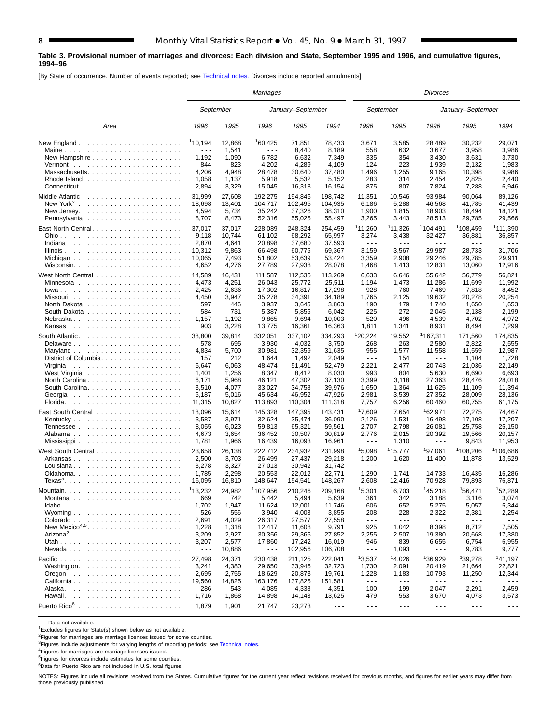#### **Table 3. Provisional number of marriages and divorces: Each division and State, September 1995 and 1996, and cumulative figures, 1994–96**

[By State of occurrence. Number of events reported; see [Technical notes.](#page-16-0) Divorces include reported annulments]

|                                                                               | Marriages            |           |                                                                                                                                                                                                                                                                                                                                                                                              |                   |                      |                               | Divorces                      |                                                                                                                                                                                                                                                                                                                                                                                              |                      |                      |  |  |  |
|-------------------------------------------------------------------------------|----------------------|-----------|----------------------------------------------------------------------------------------------------------------------------------------------------------------------------------------------------------------------------------------------------------------------------------------------------------------------------------------------------------------------------------------------|-------------------|----------------------|-------------------------------|-------------------------------|----------------------------------------------------------------------------------------------------------------------------------------------------------------------------------------------------------------------------------------------------------------------------------------------------------------------------------------------------------------------------------------------|----------------------|----------------------|--|--|--|
|                                                                               |                      | September |                                                                                                                                                                                                                                                                                                                                                                                              | January-September |                      |                               | September                     |                                                                                                                                                                                                                                                                                                                                                                                              | January-September    |                      |  |  |  |
| Area                                                                          | 1996                 | 1995      | 1996                                                                                                                                                                                                                                                                                                                                                                                         | 1995              | 1994                 | 1996                          | 1995                          | 1996                                                                                                                                                                                                                                                                                                                                                                                         | 1995                 | 1994                 |  |  |  |
| New England $\ldots \ldots \ldots \ldots \ldots \ldots \ldots \ldots$         | <sup>1</sup> 10,194  | 12,868    | 160,425                                                                                                                                                                                                                                                                                                                                                                                      | 71,851            | 78,433               | 3,671                         | 3,585                         | 28,489                                                                                                                                                                                                                                                                                                                                                                                       | 30,232               | 29,071               |  |  |  |
| Maine                                                                         | $\sim$ $\sim$ $\sim$ | 1,541     | $\sim$ $\sim$ $\sim$                                                                                                                                                                                                                                                                                                                                                                         | 8,440             | 8,189                | 558                           | 632                           | 3,677                                                                                                                                                                                                                                                                                                                                                                                        | 3,958                | 3,986                |  |  |  |
|                                                                               | 1,192                | 1,090     | 6,782                                                                                                                                                                                                                                                                                                                                                                                        | 6,632             | 7,349                | 335                           | 354                           | 3,430                                                                                                                                                                                                                                                                                                                                                                                        | 3,631                | 3,730                |  |  |  |
|                                                                               | 844                  | 823       | 4,202                                                                                                                                                                                                                                                                                                                                                                                        | 4,289             | 4,109                | 124                           | 223                           | 1,939                                                                                                                                                                                                                                                                                                                                                                                        | 2,132                | 1,983                |  |  |  |
| Massachusetts                                                                 | 4,206                | 4,948     | 28,478                                                                                                                                                                                                                                                                                                                                                                                       | 30,640            | 37,480               | 1,496                         | 1,255                         | 9,165                                                                                                                                                                                                                                                                                                                                                                                        | 10,398               | 9,986                |  |  |  |
|                                                                               | 1,058                | 1,137     | 5,918                                                                                                                                                                                                                                                                                                                                                                                        | 5,532             | 5,152                | 283                           | 314                           | 2,454                                                                                                                                                                                                                                                                                                                                                                                        | 2,825                | 2,440                |  |  |  |
|                                                                               | 2,894                | 3,329     | 15,045                                                                                                                                                                                                                                                                                                                                                                                       | 16,318            | 16,154               | 875                           | 807                           | 7,824                                                                                                                                                                                                                                                                                                                                                                                        | 7,288                | 6,946                |  |  |  |
|                                                                               | 31,999               | 27,608    | 192,275                                                                                                                                                                                                                                                                                                                                                                                      | 194,846           | 198,742              | 11,351                        | 10,546                        | 93,984                                                                                                                                                                                                                                                                                                                                                                                       | 90.064               | 89,126               |  |  |  |
|                                                                               | 18,698               | 13,401    | 104,717                                                                                                                                                                                                                                                                                                                                                                                      | 102,495           | 104.935              | 6,186                         | 5,288                         | 46,568                                                                                                                                                                                                                                                                                                                                                                                       | 41,785               | 41,439               |  |  |  |
|                                                                               | 4,594                | 5,734     | 35,242                                                                                                                                                                                                                                                                                                                                                                                       | 37,326            | 38,310               | 1,900                         | 1,815                         | 18,903                                                                                                                                                                                                                                                                                                                                                                                       | 18,494               | 18,121               |  |  |  |
|                                                                               | 8,707                | 8,473     | 52,316                                                                                                                                                                                                                                                                                                                                                                                       | 55,025            | 55,497               | 3,265                         | 3,443                         | 28,513                                                                                                                                                                                                                                                                                                                                                                                       | 29,785               | 29,566               |  |  |  |
|                                                                               | 37,017               | 37,017    | 228,089                                                                                                                                                                                                                                                                                                                                                                                      | 248,324           |                      | <sup>1</sup> 11,260           | 11,326                        | <sup>1</sup> 104,491                                                                                                                                                                                                                                                                                                                                                                         | <sup>1</sup> 108,459 | <sup>1</sup> 111,390 |  |  |  |
|                                                                               | 9,118                | 10,744    |                                                                                                                                                                                                                                                                                                                                                                                              | 68,292            | 254,459              |                               |                               |                                                                                                                                                                                                                                                                                                                                                                                              |                      | 36,857               |  |  |  |
|                                                                               | 2,870                | 4,641     | 61,102<br>20,898                                                                                                                                                                                                                                                                                                                                                                             | 37,680            | 65,997<br>37,593     | 3,274<br>$\sim$ $\sim$ $\sim$ | 3,438<br>$\sim$ $\sim$ $\sim$ | 32,427<br>$\sim$ $\sim$ $\sim$                                                                                                                                                                                                                                                                                                                                                               | 36,881<br>- - -      | .                    |  |  |  |
|                                                                               | 10,312               | 9,863     | 66,498                                                                                                                                                                                                                                                                                                                                                                                       | 60,775            | 69,367               | 3,159                         | 3,567                         | 29,987                                                                                                                                                                                                                                                                                                                                                                                       | 28,733               | 31,706               |  |  |  |
|                                                                               |                      |           |                                                                                                                                                                                                                                                                                                                                                                                              |                   |                      |                               |                               |                                                                                                                                                                                                                                                                                                                                                                                              |                      | 29,911               |  |  |  |
|                                                                               | 10,065               | 7,493     | 51,802                                                                                                                                                                                                                                                                                                                                                                                       | 53,639<br>27,938  | 53,424               | 3,359                         | 2,908                         | 29,246                                                                                                                                                                                                                                                                                                                                                                                       | 29,785               |                      |  |  |  |
|                                                                               | 4,652                | 4,276     | 27,789                                                                                                                                                                                                                                                                                                                                                                                       |                   | 28,078               | 1,468                         | 1,413                         | 12,831                                                                                                                                                                                                                                                                                                                                                                                       | 13,060               | 12,916               |  |  |  |
|                                                                               | 14,589               | 16,431    | 111,587                                                                                                                                                                                                                                                                                                                                                                                      | 112,535           | 113,269              | 6,633                         | 6,646                         | 55,642                                                                                                                                                                                                                                                                                                                                                                                       | 56,779               | 56,821               |  |  |  |
|                                                                               | 4,473                | 4,251     | 26.043                                                                                                                                                                                                                                                                                                                                                                                       | 25,772            | 25,511               | 1,194                         | 1,473                         | 11,286                                                                                                                                                                                                                                                                                                                                                                                       | 11,699               | 11,992               |  |  |  |
|                                                                               | 2,425                | 2,636     | 17,302                                                                                                                                                                                                                                                                                                                                                                                       | 16,817            | 17,298               | 928                           | 760                           | 7,469                                                                                                                                                                                                                                                                                                                                                                                        | 7,818                | 8,452                |  |  |  |
|                                                                               | 4,450                | 3,947     | 35,278                                                                                                                                                                                                                                                                                                                                                                                       | 34,391            | 34,189               | 1,765                         | 2,125                         | 19,632                                                                                                                                                                                                                                                                                                                                                                                       | 20,278               | 20,254               |  |  |  |
| North Dakota. $\ldots$ , $\ldots$ , $\ldots$ , $\ldots$ , $\ldots$ , $\ldots$ | 597                  | 446       | 3,937                                                                                                                                                                                                                                                                                                                                                                                        | 3,645             | 3,863                | 190                           | 179                           | 1,740                                                                                                                                                                                                                                                                                                                                                                                        | 1,650                | 1,653                |  |  |  |
|                                                                               | 584                  | 731       | 5,387                                                                                                                                                                                                                                                                                                                                                                                        | 5,855             | 6,042                | 225                           | 272                           | 2,045                                                                                                                                                                                                                                                                                                                                                                                        | 2,138                | 2,199                |  |  |  |
| Nebraska                                                                      | 1,157                | 1,192     | 9,865                                                                                                                                                                                                                                                                                                                                                                                        | 9,694             | 10,003               | 520                           | 496                           | 4,539                                                                                                                                                                                                                                                                                                                                                                                        | 4,702                | 4,972                |  |  |  |
|                                                                               | 903                  | 3,228     | 13,775                                                                                                                                                                                                                                                                                                                                                                                       | 16,361            | 16,363               | 1,811                         | 1,341                         | 8,931                                                                                                                                                                                                                                                                                                                                                                                        | 8,494                | 7,299                |  |  |  |
|                                                                               | 38,800               | 39,814    | 332,051                                                                                                                                                                                                                                                                                                                                                                                      | 337,102           | 334,293              | 120,224                       | 19,552                        | 1167,311                                                                                                                                                                                                                                                                                                                                                                                     | 171,560              | 174,835              |  |  |  |
|                                                                               | 578                  | 695       | 3,930                                                                                                                                                                                                                                                                                                                                                                                        | 4,032             | 3,750                | 268                           | 263                           | 2,580                                                                                                                                                                                                                                                                                                                                                                                        | 2,822                | 2,555                |  |  |  |
|                                                                               | 4,834                | 5,700     | 30,981                                                                                                                                                                                                                                                                                                                                                                                       | 32,359            | 31,635               | 955                           | 1,577                         | 11,558                                                                                                                                                                                                                                                                                                                                                                                       | 11,559               | 12,987               |  |  |  |
| District of Columbia                                                          | 157                  | 212       | 1,644                                                                                                                                                                                                                                                                                                                                                                                        | 1,492             | 2,049                | $\sim$ $\sim$ $\sim$          | 154                           | $\frac{1}{2} \frac{1}{2} \frac{1}{2} \frac{1}{2} \frac{1}{2} \frac{1}{2} \frac{1}{2} \frac{1}{2} \frac{1}{2} \frac{1}{2} \frac{1}{2} \frac{1}{2} \frac{1}{2} \frac{1}{2} \frac{1}{2} \frac{1}{2} \frac{1}{2} \frac{1}{2} \frac{1}{2} \frac{1}{2} \frac{1}{2} \frac{1}{2} \frac{1}{2} \frac{1}{2} \frac{1}{2} \frac{1}{2} \frac{1}{2} \frac{1}{2} \frac{1}{2} \frac{1}{2} \frac{1}{2} \frac{$ | 1,104                | 1,728                |  |  |  |
|                                                                               | 5,647                | 6,063     | 48,474                                                                                                                                                                                                                                                                                                                                                                                       | 51,491            | 52,479               | 2,221                         | 2,477                         | 20,743                                                                                                                                                                                                                                                                                                                                                                                       | 21,036               | 22,149               |  |  |  |
|                                                                               | 1,401                | 1,256     | 8,347                                                                                                                                                                                                                                                                                                                                                                                        | 8,412             | 8,030                | 993                           | 804                           | 5,630                                                                                                                                                                                                                                                                                                                                                                                        | 6,690                | 6,693                |  |  |  |
| North Carolina                                                                | 6,171                | 5,968     | 46,121                                                                                                                                                                                                                                                                                                                                                                                       | 47,302            | 37,130               | 3,399                         | 3,118                         | 27,363                                                                                                                                                                                                                                                                                                                                                                                       | 28,476               | 28,018               |  |  |  |
|                                                                               |                      |           |                                                                                                                                                                                                                                                                                                                                                                                              |                   |                      |                               |                               |                                                                                                                                                                                                                                                                                                                                                                                              |                      | 11,394               |  |  |  |
|                                                                               | 3,510                | 4,077     | 33,027                                                                                                                                                                                                                                                                                                                                                                                       | 34,758            | 39,976               | 1,650                         | 1,364                         | 11,625                                                                                                                                                                                                                                                                                                                                                                                       | 11,109               |                      |  |  |  |
| Georgia                                                                       | 5,187                | 5,016     | 45,634                                                                                                                                                                                                                                                                                                                                                                                       | 46,952            | 47,926               | 2,981                         | 3,539                         | 27,352                                                                                                                                                                                                                                                                                                                                                                                       | 28,009               | 28,136               |  |  |  |
|                                                                               | 11,315               | 10,827    | 113,893                                                                                                                                                                                                                                                                                                                                                                                      | 110,304           | 111,318              | 7,757                         | 6,256                         | 60,460                                                                                                                                                                                                                                                                                                                                                                                       | 60,755               | 61,175               |  |  |  |
|                                                                               | 18,096               | 15,614    | 145,328                                                                                                                                                                                                                                                                                                                                                                                      | 147,395           | 143,431              | 17,609                        | 7,654                         | <sup>1</sup> 62,971                                                                                                                                                                                                                                                                                                                                                                          | 72,275               | 74,467               |  |  |  |
|                                                                               | 3,587                | 3,971     | 32,624                                                                                                                                                                                                                                                                                                                                                                                       | 35,474            | 36,090               | 2,126                         | 1,531                         | 16,498                                                                                                                                                                                                                                                                                                                                                                                       | 17,108               | 17,207               |  |  |  |
|                                                                               | 8,055                | 6,023     | 59,813                                                                                                                                                                                                                                                                                                                                                                                       | 65,321            | 59,561               | 2,707                         | 2,798                         | 26,081                                                                                                                                                                                                                                                                                                                                                                                       | 25,758               | 25,150               |  |  |  |
|                                                                               | 4,673                | 3,654     | 36,452                                                                                                                                                                                                                                                                                                                                                                                       | 30,507            | 30,819               | 2,776                         | 2,015                         | 20,392                                                                                                                                                                                                                                                                                                                                                                                       | 19,566               | 20,157               |  |  |  |
|                                                                               | 1,781                | 1,966     | 16,439                                                                                                                                                                                                                                                                                                                                                                                       | 16,093            | 16,961               | $\sim$ $\sim$ $\sim$          | 1,310                         | $\sim$ $\sim$ $\sim$                                                                                                                                                                                                                                                                                                                                                                         | 9,843                | 11,953               |  |  |  |
|                                                                               | 23,658               | 26.138    | 222,712                                                                                                                                                                                                                                                                                                                                                                                      | 234,932           | 231,998              | 15,098                        | 115,777                       | <sup>1</sup> 97,061                                                                                                                                                                                                                                                                                                                                                                          | 108,206              | 1106,686             |  |  |  |
| Arkansas                                                                      | 2,500                | 3,703     | 26,499                                                                                                                                                                                                                                                                                                                                                                                       | 27,437            | 29,218               | 1,200                         | 1,620                         | 11,400                                                                                                                                                                                                                                                                                                                                                                                       | 11,878               | 13,529               |  |  |  |
|                                                                               | 3,278                | 3,327     | 27,013                                                                                                                                                                                                                                                                                                                                                                                       | 30,942            | 31,742               | $\sim$ $\sim$ $\sim$          | - - -                         | $\sim$ $\sim$ $\sim$                                                                                                                                                                                                                                                                                                                                                                         | $\sim$ $\sim$ $\sim$ |                      |  |  |  |
|                                                                               | 1,785                | 2,298     | 20,553                                                                                                                                                                                                                                                                                                                                                                                       | 22,012            | 22,771               | 1,290                         | 1,741                         | 14,733                                                                                                                                                                                                                                                                                                                                                                                       | 16,435               | 16,286               |  |  |  |
| $Texas3$                                                                      | 16,095               | 16,810    | 148,647                                                                                                                                                                                                                                                                                                                                                                                      | 154,541           | 148,267              | 2,608                         | 12,416                        | 70,928                                                                                                                                                                                                                                                                                                                                                                                       | 79,893               | 76,871               |  |  |  |
|                                                                               |                      |           |                                                                                                                                                                                                                                                                                                                                                                                              |                   |                      |                               |                               |                                                                                                                                                                                                                                                                                                                                                                                              |                      |                      |  |  |  |
|                                                                               | 113,232              | 24,982    | 1107,956                                                                                                                                                                                                                                                                                                                                                                                     | 210.246           | 209,168              | 15,301                        | 16,703                        | 145,218                                                                                                                                                                                                                                                                                                                                                                                      | 156,471              | 152.289              |  |  |  |
|                                                                               | 669                  | 742       | 5,442                                                                                                                                                                                                                                                                                                                                                                                        | 5,494             | 5,639                | 361                           | 342                           | 3,188                                                                                                                                                                                                                                                                                                                                                                                        | 3,116                | 3,074                |  |  |  |
| $Idaho$                                                                       | 1,702                | 1,947     | 11,624                                                                                                                                                                                                                                                                                                                                                                                       | 12,001            | 11,746               | 606                           | 652                           | 5,275                                                                                                                                                                                                                                                                                                                                                                                        | 5,057                | 5,344                |  |  |  |
| Wyoming $\ldots \ldots \ldots \ldots \ldots \ldots \ldots$                    | 526                  | 556       | 3,940                                                                                                                                                                                                                                                                                                                                                                                        | 4,003             | 3,855                | 208                           | 228                           | 2,322                                                                                                                                                                                                                                                                                                                                                                                        | 2,381                | 2,254                |  |  |  |
|                                                                               | 2,691                | 4,029     | 26,317                                                                                                                                                                                                                                                                                                                                                                                       | 27,577            | 27,558               | $\sim$ $\sim$ $\sim$          | $\sim$ $\sim$ $\sim$          | $\frac{1}{2} \frac{1}{2} \frac{1}{2} \frac{1}{2} \frac{1}{2} \frac{1}{2} \frac{1}{2} \frac{1}{2} \frac{1}{2} \frac{1}{2} \frac{1}{2} \frac{1}{2} \frac{1}{2} \frac{1}{2} \frac{1}{2} \frac{1}{2} \frac{1}{2} \frac{1}{2} \frac{1}{2} \frac{1}{2} \frac{1}{2} \frac{1}{2} \frac{1}{2} \frac{1}{2} \frac{1}{2} \frac{1}{2} \frac{1}{2} \frac{1}{2} \frac{1}{2} \frac{1}{2} \frac{1}{2} \frac{$ | $\sim$ $\sim$ $\sim$ | $\sim$ $\sim$ $\sim$ |  |  |  |
| New Mexico <sup>4,5</sup>                                                     | 1,228                | 1,318     | 12,417                                                                                                                                                                                                                                                                                                                                                                                       | 11,608            | 9,791                | 925                           | 1,042                         | 8,398                                                                                                                                                                                                                                                                                                                                                                                        | 8,712                | 7,505                |  |  |  |
| $Arizona2$                                                                    | 3,209                | 2,927     | 30,356                                                                                                                                                                                                                                                                                                                                                                                       | 29,365            | 27,852               | 2,255                         | 2,507                         | 19,380                                                                                                                                                                                                                                                                                                                                                                                       | 20,668               | 17,380               |  |  |  |
|                                                                               | 3,207                | 2,577     | 17,860                                                                                                                                                                                                                                                                                                                                                                                       | 17,242            | 16,019               | 946                           | 839                           | 6,655                                                                                                                                                                                                                                                                                                                                                                                        | 6,754                | 6,955                |  |  |  |
|                                                                               | $\sim$ $\sim$ $\sim$ | 10,886    | $\frac{1}{2} \frac{1}{2} \frac{1}{2} \frac{1}{2} \frac{1}{2} \frac{1}{2} \frac{1}{2} \frac{1}{2} \frac{1}{2} \frac{1}{2} \frac{1}{2} \frac{1}{2} \frac{1}{2} \frac{1}{2} \frac{1}{2} \frac{1}{2} \frac{1}{2} \frac{1}{2} \frac{1}{2} \frac{1}{2} \frac{1}{2} \frac{1}{2} \frac{1}{2} \frac{1}{2} \frac{1}{2} \frac{1}{2} \frac{1}{2} \frac{1}{2} \frac{1}{2} \frac{1}{2} \frac{1}{2} \frac{$ | 102,956           | 106,708              | $\sim$ $\sim$ $\sim$          | 1,093                         | $- - -$                                                                                                                                                                                                                                                                                                                                                                                      | 9,783                | 9,777                |  |  |  |
|                                                                               | 27,498               | 24,371    | 230,438                                                                                                                                                                                                                                                                                                                                                                                      | 211,125           | 222,041              | 13,537                        | 14,026                        | 136,929                                                                                                                                                                                                                                                                                                                                                                                      | 139,278              | 141,197              |  |  |  |
|                                                                               | 3,241                | 4,380     | 29,650                                                                                                                                                                                                                                                                                                                                                                                       | 33,946            | 32,723               | 1,730                         | 2,091                         | 20,419                                                                                                                                                                                                                                                                                                                                                                                       | 21,664               | 22,821               |  |  |  |
|                                                                               | 2,695                | 2,755     | 18,629                                                                                                                                                                                                                                                                                                                                                                                       | 20,873            | 19,761               | 1,228                         | 1,183                         | 10,793                                                                                                                                                                                                                                                                                                                                                                                       | 11,250               | 12,344               |  |  |  |
|                                                                               | 19,560               | 14,825    | 163,176                                                                                                                                                                                                                                                                                                                                                                                      | 137,825           | 151,581              | $\sim$ $\sim$ $\sim$          | $\sim$ $\sim$ $\sim$          | $\sim$ $\sim$ $\sim$                                                                                                                                                                                                                                                                                                                                                                         | $\sim$ $\sim$ $\sim$ | $\sim$ $\sim$ $\sim$ |  |  |  |
|                                                                               | 286                  | 543       | 4,085                                                                                                                                                                                                                                                                                                                                                                                        | 4,338             | 4,351                | 100                           | 199                           | 2,047                                                                                                                                                                                                                                                                                                                                                                                        | 2,291                | 2,459                |  |  |  |
|                                                                               | 1,716                | 1,868     | 14,898                                                                                                                                                                                                                                                                                                                                                                                       | 14,143            | 13,625               | 479                           | 553                           | 3,670                                                                                                                                                                                                                                                                                                                                                                                        | 4,073                | 3,573                |  |  |  |
|                                                                               |                      |           |                                                                                                                                                                                                                                                                                                                                                                                              |                   |                      |                               |                               |                                                                                                                                                                                                                                                                                                                                                                                              |                      |                      |  |  |  |
|                                                                               | 1,879                | 1,901     | 21,747                                                                                                                                                                                                                                                                                                                                                                                       | 23,273            | $\sim$ $\sim$ $\sim$ | $\sim$ $\sim$ $\sim$          | $\sim$ $\sim$ $\sim$          | $\sim$ $\sim$ $\sim$                                                                                                                                                                                                                                                                                                                                                                         | $\sim$ $\sim$ $\sim$ | $\sim$ $\sim$ $\sim$ |  |  |  |

- - - Data not available.

 $1$ Excludes figures for State(s) shown below as not available.

<sup>2</sup>Figures for marriages are marriage licenses issued for some counties.

<sup>3</sup>Figures include adjustments for varying lengths of reporting periods; see [Technical notes.](#page-16-0)<br><sup>4</sup>Figures for marriages are marriage licenses issued.

5Figures for divorces include estimates for some counties.

6Data for Puerto Rico are not included in U.S. total figures.

NOTES: Figures include all revisions received from the States. Cumulative figures for the current year reflect revisions received for previous months, and figures for earlier years may differ from those previously published.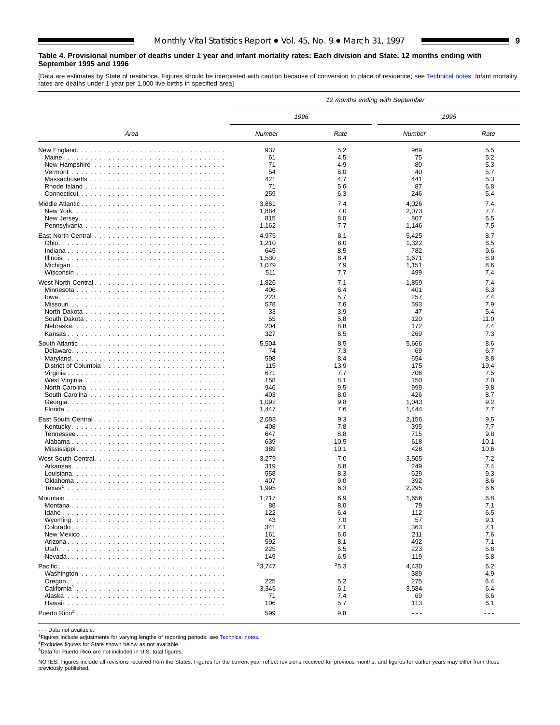#### <span id="page-8-0"></span>**Table 4. Provisional number of deaths under 1 year and infant mortality rates: Each division and State, 12 months ending with September 1995 and 1996**

[Data are estimates by State of residence. Figures should be interpreted with caution because of conversion to place of residence; see [Technical notes.](#page-16-0) Infant mortality rates are deaths under 1 year per 1,000 live births in specified area]

|                    |                      |                      | 12 months ending with September |                      |
|--------------------|----------------------|----------------------|---------------------------------|----------------------|
|                    | 1996                 |                      | 1995                            |                      |
| Area               | Number               | Rate                 | Number                          | Rate                 |
|                    | 937                  | 5.2                  | 969                             | 5.5                  |
|                    | 61                   | 4.5                  | 75                              | 5.2                  |
|                    | 71                   | 4.9                  | 80                              | 5.3                  |
|                    | 54                   | 8.0                  | 40                              | 5.7                  |
|                    | 421                  | 4.7                  | 441                             | 5.3                  |
|                    | 71                   | 5.6                  | 87                              | 6.8                  |
|                    | 259                  | 6.3                  | 246                             | 5.4                  |
|                    | 3,861                | 7.4                  | 4,026                           | 7.4                  |
|                    | 1,884                | 7.0                  | 2,073                           | 7.7                  |
|                    | 815                  | 8.0                  | 807                             | 6.5                  |
|                    | 1,162                | 7.7                  | 1,146                           | 7.5                  |
|                    | 4,975                | 8.1                  | 5,425                           | 8.7                  |
|                    | 1,210                | 8.0                  | 1,322                           | 8.5                  |
|                    | 645                  | 8.5                  | 782                             | 9.6                  |
|                    | 1,530                | 8.4                  | 1,671                           | 8.9                  |
|                    | 1,079                | 7.9                  | 1,151                           | 8.6                  |
|                    | 511                  | 7.7                  | 499                             | 7.4                  |
|                    |                      | 7.1                  |                                 | 7.4                  |
| West North Central | 1,826<br>406         | 6.4                  | 1,859<br>401                    | 6.3                  |
|                    | 223                  | 5.7                  | 257                             | 7.4                  |
|                    | 578                  | 7.6                  | 593                             | 7.9                  |
|                    | 33                   | 3.9                  | 47                              | 5.4                  |
|                    | 55                   | 5.8                  | 120                             | 11.0                 |
|                    | 204                  | 8.8                  | 172                             | 7.4                  |
|                    | 327                  | 8.5                  | 269                             | 7.3                  |
|                    |                      |                      |                                 |                      |
|                    | 5,504                | 8.5                  | 5,666                           | 8.6                  |
|                    | 74                   | 7.3                  | 69                              | 6.7                  |
|                    | 598                  | 8.4                  | 654                             | 8.8                  |
|                    | 115                  | 13.9                 | 175                             | 19.4                 |
|                    | 671                  | 7.7<br>8.1           | 706                             | 7.5                  |
|                    | 158<br>946           | 9.5                  | 150                             | 7.0<br>9.8           |
|                    | 403                  | 8.0                  | 999<br>426                      | 8.7                  |
|                    | 1,092                | 9.8                  | 1,043                           | 9.2                  |
|                    | 1,447                | 7.6                  | 1,444                           | 7.7                  |
|                    |                      |                      |                                 |                      |
|                    | 2,083                | 9.3                  | 2,156                           | 9.5                  |
|                    | 408                  | 7.8                  | 395                             | 7.7                  |
|                    | 647                  | 8.8                  | 715                             | 9.8                  |
|                    | 639                  | 10.5                 | 618                             | 10.1                 |
|                    | 389                  | 10.1                 | 428                             | 10.6                 |
| West South Central | 3,279                | 7.0                  | 3,565                           | 7.2                  |
|                    | 319                  | 8.8                  | 249                             | 7.4                  |
|                    | 558                  | 8.3                  | 629                             | 9.3                  |
|                    | 407                  | 9.0                  | 392                             | 8.6                  |
| Texas $^1$         | 1,995                | 6.3                  | 2,295                           | 6.6                  |
|                    | 1,717                | 6.9                  | 1,656                           | 6.8                  |
|                    | 88                   | 8.0                  | 79                              | 7.1                  |
|                    | 122                  | 6.4                  | 112                             | 6.5                  |
|                    | 43                   | 7.0                  | 57                              | 9.1                  |
|                    | 341                  | 7.1                  | 363                             | 7.1                  |
|                    | 161                  | 6.0                  | 211                             | 7.6                  |
|                    | 592                  | 8.1                  | 492                             | 7.1                  |
|                    | 225                  | 5.5                  | 223                             | 5.8                  |
|                    | 145                  | 6.5                  | 119                             | 5.8                  |
|                    | 23,747               | 25.3                 | 4,430                           | 6.2                  |
|                    | $\sim$ $\sim$ $\sim$ | $\sim$ $\sim$ $\sim$ | 389                             | 4.9                  |
|                    | 225                  | 5.2                  | 275                             | 6.4                  |
|                    | 3,345                | 6.1                  | 3,584                           | 6.4                  |
|                    | 71                   | 7.4                  | 69                              | 6.6                  |
|                    | 106                  | 5.7                  | 113                             | 6.1                  |
|                    | 599                  | 9.8                  | $- - -$                         | $\sim$ $\sim$ $\sim$ |

- - - Data not available.

<sup>1</sup>Figures include adjustments for varying lengths of reporting periods; see [Technical notes.](#page-16-0)

2Excludes figures for State shown below as not available.

3Data for Puerto Rico are not included in U.S. total figures.

NOTES: Figures include all revisions received from the States. Figures for the current year reflect revisions received for previous months, and figures for earlier years may differ from those previously published.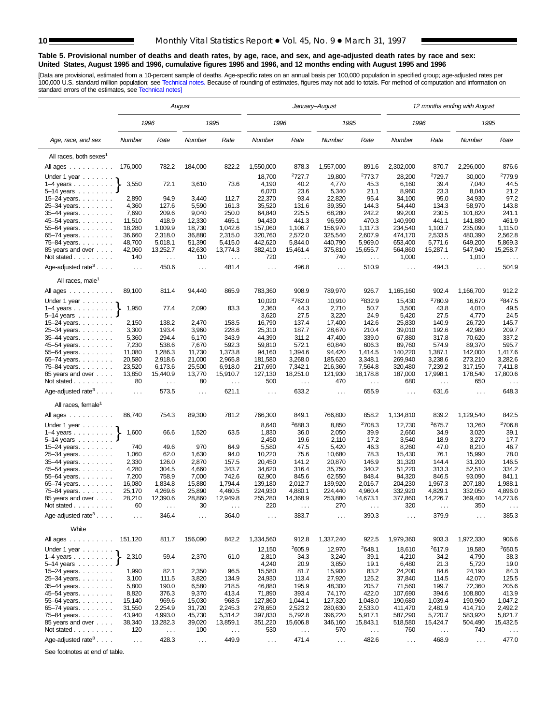$\overline{a}$ 

Ē,

#### <span id="page-9-0"></span>**Table 5. Provisional number of deaths and death rates, by age, race, and sex, and age-adjusted death rates by race and sex: United States, August 1995 and 1996, cumulative figures 1995 and 1996, and 12 months ending with August 1995 and 1996**

[Data are provisional, estimated from a 10-percent sample of deaths. Age-specific rates on an annual basis per 100,000 population in specified group; age-adjusted rates per<br>100,000 U.S. standard million population; see Tec

|                                                         |                  |                           | August               |                               |                    |                      | January–August       |                                  |                      |                               | 12 months ending with August |                     |
|---------------------------------------------------------|------------------|---------------------------|----------------------|-------------------------------|--------------------|----------------------|----------------------|----------------------------------|----------------------|-------------------------------|------------------------------|---------------------|
|                                                         |                  | 1996                      |                      | 1995                          | 1996               |                      | 1995                 |                                  | 1996                 |                               | 1995                         |                     |
| Age, race, and sex                                      | Number           | Rate                      | Number               | Rate                          | Number             | Rate                 | Number               | Rate                             | Number               | Rate                          | Number                       | Rate                |
| All races, both sexes <sup>1</sup>                      |                  |                           |                      |                               |                    |                      |                      |                                  |                      |                               |                              |                     |
| All ages                                                | 176,000          | 782.2                     | 184,000              | 822.2                         | 1,550,000          | 878.3                | 1,557,000            | 891.6                            | 2,302,000            | 870.7                         | 2,296,000                    | 876.6               |
| Under 1 year                                            |                  |                           |                      |                               | 18,700             | <sup>2</sup> 727.7   | 19,800               | <sup>2</sup> 773.7               | 28,200               | 2729.7                        | 30,000                       | <sup>2</sup> 779.9  |
| $1-4$ years $\ldots$ $\ldots$ .                         | 3,550            | 72.1                      | 3,610                | 73.6                          | 4,190              | 40.2                 | 4,770                | 45.3                             | 6,160                | 39.4                          | 7,040                        | 44.5                |
| $5-14$ years                                            |                  |                           |                      |                               | 6,070              | 23.6                 | 5,340                | 21.1                             | 8,960                | 23.3                          | 8,040                        | 21.2                |
| 15-24 years.                                            | 2,890            | 94.9                      | 3,440                | 112.7                         | 22,370             | 93.4                 | 22,820               | 95.4                             | 34,100               | 95.0                          | 34,930                       | 97.2                |
| 25-34 years.                                            | 4,360            | 127.6                     | 5,590                | 161.3                         | 35,520             | 131.6                | 39,350               | 144.3                            | 54,440               | 134.3                         | 58,970                       | 143.8               |
| 35-44 years.                                            | 7,690<br>11,510  | 209.6<br>418.9            | 9,040<br>12,330      | 250.0<br>465.1                | 64,840<br>94,430   | 225.5<br>441.3       | 68,280<br>96,590     | 242.2<br>470.3                   | 99,200<br>140,990    | 230.5<br>441.1                | 101,820<br>141,880           | 241.1<br>461.9      |
| 45-54 years.<br>55-64 years.                            | 18,280           | 1,009.9                   | 18,730               | 1,042.6                       | 157,060            | 1,106.7              | 156,970              | 1,117.3                          | 234,540              | 1,103.7                       | 235,090                      | 1,115.0             |
| 65-74 years.                                            | 36,660           | 2,318.0                   | 36,880               | 2,315.0                       | 320,760            | 2,572.0              | 325,540              | 2,607.9                          | 474,170              | 2,533.5                       | 480,390                      | 2,562.8             |
| 75-84 years.                                            | 48,700           | 5,018.1                   | 51,390               | 5,415.0                       | 442,620            | 5,844.0              | 440,790              | 5,969.0                          | 653,400              | 5,771.6                       | 649,200                      | 5,869.3             |
| 85 years and over                                       | 42,060           | 13,252.7                  | 42,630               | 13,774.3                      | 382,410            | 15,461.4             | 375,810              | 15,655.7                         | 564,860              | 15,287.1                      | 547,940                      | 15,258.7            |
| Not stated $\ldots$                                     | 140              | $\sim$ .                  | 110                  | $\ldots$                      | 720                | $\sim$ $\sim$        | 740                  | $\sim$ $\sim$                    | 1,000                | $\mathcal{L}^{\mathcal{L}}$ . | 1,010                        | $\ldots$            |
| Age-adjusted rate <sup>3</sup>                          | $\ldots$         | 450.6                     | $\sim$ $\sim$        | 481.4                         | $\cdots$           | 496.8                | $\sim$ $\sim$        | 510.9                            | $\sim$ $\sim$        | 494.3                         | $\ldots$                     | 504.9               |
| All races, male <sup>1</sup>                            |                  |                           |                      |                               |                    |                      |                      |                                  |                      |                               |                              |                     |
| All ages                                                | 89,100           | 811.4                     | 94,440               | 865.9                         | 783,360            | 908.9                | 789,970              | 926.7                            | 1,165,160            | 902.4                         | 1,166,700                    | 912.2               |
| Under 1 year                                            |                  |                           |                      |                               | 10,020             | <sup>2</sup> 762.0   | 10,910               | 2832.9                           | 15,430               | <sup>2</sup> 780.9            | 16,670                       | <sup>2</sup> 847.5  |
| $1-4$ years                                             | 1,950            | 77.4                      | 2,090                | 83.3                          | 2,360<br>3,620     | 44.3<br>27.5         | 2,710<br>3,220       | 50.7<br>24.9                     | 3,500<br>5,420       | 43.8<br>27.5                  | 4,010<br>4,770               | 49.5<br>24.5        |
| $5 - 14$ years $\ldots \ldots$<br>15–24 years. $\ldots$ | 2,150            | 138.2                     | 2,470                | 158.5                         | 16,790             | 137.4                | 17,400               | 142.6                            | 25,830               | 140.9                         | 26,720                       | 145.7               |
| 25-34 years.                                            | 3,300            | 193.4                     | 3,960                | 228.6                         | 25,310             | 187.7                | 28,670               | 210.4                            | 39,010               | 192.6                         | 42,980                       | 209.7               |
| $35 - 44$ years.                                        | 5,360            | 294.4                     | 6,170                | 343.9                         | 44,390             | 311.2                | 47,400               | 339.0                            | 67,880               | 317.8                         | 70,620                       | 337.2               |
| 45-54 years.                                            | 7,230            | 538.6                     | 7,670                | 592.3                         | 59,810             | 572.1                | 60,840               | 606.3                            | 89,760               | 574.9                         | 89,370                       | 595.7               |
| 55-64 years.                                            | 11,080           | 1,286.3                   | 11,730               | 1,373.8                       | 94,160             | 1,394.6              | 94,420               | 1,414.5                          | 140,220              | 1,387.1                       | 142,000                      | 1,417.6             |
| 65-74 years.                                            | 20,580           | 2,918.6                   | 21,000               | 2,965.8                       | 181,580            | 3.268.0              | 185,620              | 3,348.1                          | 269,940              | 3,238.6                       | 273,210                      | 3,282.6             |
| 75-84 years.                                            | 23,520           | 6,173.6                   | 25,500               | 6,918.0                       | 217,690            | 7,342.1              | 216,360              | 7,564.8                          | 320,480              | 7,239.2<br>17,998.1           | 317,150                      | 7,411.8<br>17,800.6 |
| 85 years and over<br>Not stated                         | 13,850<br>80     | 15,440.9<br>$\sim$ $\sim$ | 13,770<br>80         | 15,910.7<br>$\cdots$          | 127,130<br>500     | 18,251.0<br>$\sim$ . | 121,930<br>470       | 18,178.8<br>$\sim$ $\sim$ $\sim$ | 187,000<br>680       | $\sim$ .                      | 178,540<br>650               | $\sim$ $\sim$       |
| Age-adjusted rate <sup>3</sup> $\ldots$ .               | $\sim$ .         | 573.5                     | $\sim$ $\sim$        | 621.1                         | $\sim$ $\sim$      | 633.2                | $\sim$ $\sim$        | 655.9                            | $\ldots$             | 631.6                         | $\ldots$                     | 648.3               |
| All races, female                                       |                  |                           |                      |                               |                    |                      |                      |                                  |                      |                               |                              |                     |
| All ages                                                | 86,740           | 754.3                     | 89,300               | 781.2                         | 766,300            | 849.1                | 766,800              | 858.2                            | 1,134,810            | 839.2                         | 1,129,540                    | 842.5               |
|                                                         |                  |                           |                      |                               |                    |                      |                      |                                  |                      |                               |                              |                     |
| Under 1 year                                            |                  |                           |                      |                               | 8,640              | <sup>2</sup> 688.3   | 8,850                | <sup>2</sup> 708.3               | 12,730               | <sup>2</sup> 675.7            | 13,260                       | <sup>2</sup> 706.8  |
| $1-4$ years $\ldots$ $\ldots$ .<br>$5 - 14$ years       | 1,600            | 66.6                      | 1,520                | 63.5                          | 1,830<br>2,450     | 36.0<br>19.6         | 2,050<br>2,110       | 39.9<br>17.2                     | 2,660<br>3,540       | 34.9<br>18.9                  | 3,020<br>3,270               | 39.1<br>17.7        |
| $15 - 24$ years.                                        | 740              | 49.6                      | 970                  | 64.9                          | 5,580              | 47.5                 | 5,420                | 46.3                             | 8,260                | 47.0                          | 8,210                        | 46.7                |
| 25-34 years.                                            | 1,060            | 62.0                      | 1,630                | 94.0                          | 10,220             | 75.6                 | 10,680               | 78.3                             | 15,430               | 76.1                          | 15,990                       | 78.0                |
| 35-44 years.                                            | 2,330            | 126.0                     | 2,870                | 157.5                         | 20,450             | 141.2                | 20,870               | 146.9                            | 31,320               | 144.4                         | 31,200                       | 146.5               |
| 45–54 years.                                            | 4,280            | 304.5                     | 4,660                | 343.7                         | 34,620             | 316.4                | 35,750               | 340.2                            | 51,220               | 313.3                         | 52,510                       | 334.2               |
| 55–64 years. $\ldots$ .                                 | 7,200            | 758.9                     | 7,000                | 742.6                         | 62,900             | 845.6                | 62,550               | 848.4                            | 94,320               | 846.5                         | 93,090                       | 841.1               |
| 65-74 years.<br>75-84 years.                            | 16,080<br>25,170 | 1,834.8<br>4,269.6        | 15,880<br>25,890     | 1,794.4<br>4,460.5            | 139,180<br>224,930 | 2,012.7<br>4,880.1   | 139,920<br>224,440   | 2,016.7<br>4,960.4               | 204,230<br>332,920   | 1,967.3<br>4,829.1            | 207,180<br>332,050           | 1,988.1<br>4,896.0  |
| 85 years and over                                       | 28,210           | 12,390.6                  | 28,860               | 12,949.8                      | 255,280            | 14,368.9             | 253,880              | 14,673.1                         | 377,860              | 14,226.7                      | 369,400                      | 14,273.6            |
| Not stated.<br>and a series and                         | 60               |                           | 30                   |                               | 220                |                      | 270                  |                                  | 320                  |                               | 350                          |                     |
| Age-adjusted rate <sup>3</sup>                          | $\cdots$         | 346.4                     | $\sim$ $\sim$ $\sim$ | 364.0                         | $\cdots$           | 383.7                | $\sim$ $\sim$ $\sim$ | 390.3                            | $\cdots$             | 379.9                         | $\sim$ $\sim$ $\sim$         | 385.3               |
| White                                                   |                  |                           |                      |                               |                    |                      |                      |                                  |                      |                               |                              |                     |
| All ages                                                | 151,120          | 811.7                     | 156,090              | 842.2                         | 1,334,560          | 912.8                | 1,337,240            | 922.5                            | 1,979,360            | 903.3                         | 1,972,330                    | 906.6               |
| Under 1 year $\ldots$                                   |                  |                           |                      |                               | 12,150             | 2605.9               | 12,970               | <sup>2</sup> 648.1               | 18,610               | <sup>2</sup> 617.9            | 19,580                       | <sup>2</sup> 650.5  |
| $1-4$ years                                             | 2,310            | 59.4                      | 2,370                | 61.0                          | 2,810              | 34.3                 | 3,240                | 39.1                             | 4,210                | 34.2                          | 4,790                        | 38.3                |
| $5 - 14$ years $\ldots \ldots$                          |                  |                           |                      |                               | 4,240              | 20.9                 | 3,850                | 19.1                             | 6,480                | 21.3                          | 5,720                        | 19.0                |
| 15–24 years. $\ldots$                                   | 1,990            | 82.1                      | 2,350                | 96.5                          | 15,580             | 81.7                 | 15,900               | 83.2                             | 24,200               | 84.6                          | 24,190                       | 84.3                |
| 25-34 years.<br>35-44 years.                            | 3,100<br>5,800   | 111.5<br>190.0            | 3,820<br>6,580       | 134.9<br>218.5                | 24,930<br>46,880   | 113.4<br>195.9       | 27,920<br>48,300     | 125.2<br>205.7                   | 37,840<br>71,560     | 114.5<br>199.7                | 42,070<br>72,360             | 125.5<br>205.6      |
| 45-54 years.                                            | 8,820            | 376.3                     | 9,370                | 413.4                         | 71,890             | 393.4                | 74,170               | 422.0                            | 107,690              | 394.6                         | 108,800                      | 413.9               |
| 55-64 years.                                            | 15,140           | 969.6                     | 15,030               | 968.5                         | 127,860            | 1,044.1              | 127,320              | 1,048.0                          | 190,680              | 1,039.4                       | 190,960                      | 1,047.2             |
| 65-74 years.                                            | 31,550           | 2,254.9                   | 31,720               | 2,245.3                       | 278,650            | 2,523.2              | 280,630              | 2,533.0                          | 411,470              | 2,481.9                       | 414,710                      | 2,492.2             |
| 75-84 years.                                            | 43,940           | 4,993.0                   | 45,730               | 5,314.2                       | 397,830            | 5,792.8              | 396,220              | 5,917.1                          | 587,290              | 5,720.7                       | 583,920                      | 5,821.7             |
| 85 years and over                                       | 38,340           | 13,282.3                  | 39,020               | 13,859.1                      | 351,220            | 15,606.8             | 346,160              | 15,843.1                         | 518,580              | 15,424.7                      | 504,490                      | 15,432.5            |
| Not stated                                              | 120              | $\sim$ $\sim$             | 100                  | $\epsilon \rightarrow \infty$ | 530                | $\sim$ $\sim$        | 570                  | $\ldots$                         | 760                  | $\sim$ $\sim$                 | 740                          | $\sim$ $\sim$       |
| Age-adjusted rate <sup>3</sup> $\ldots$ .               | $\sim 100$       | 428.3                     | $\sim$ $\sim$        | 449.9                         | $\sim 100$         | 471.4                | $\sim 100$           | 482.6                            | $\sim$ $\sim$ $\sim$ | 468.9                         | $\sim 100$                   | 477.0               |

See footnotes at end of table.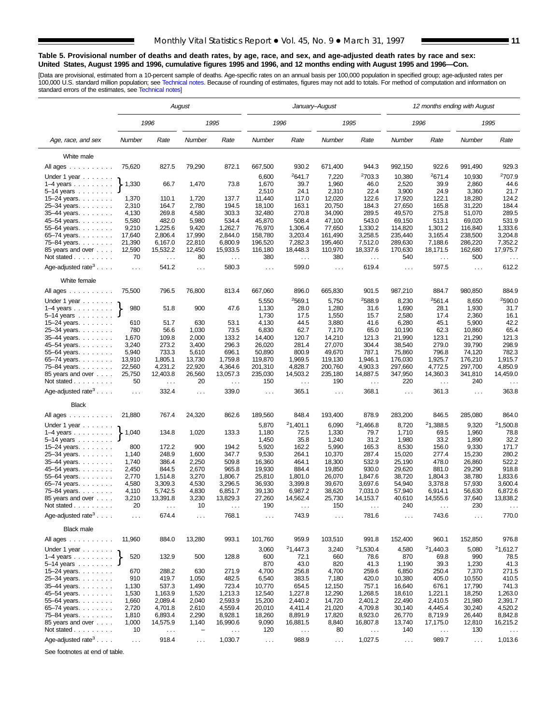#### **Table 5. Provisional number of deaths and death rates, by age, race, and sex, and age-adjusted death rates by race and sex: United States, August 1995 and 1996, cumulative figures 1995 and 1996, and 12 months ending with August 1995 and 1996—Con.**

[Data are provisional, estimated from a 10-percent sample of deaths. Age-specific rates on an annual basis per 100,000 population in specified group; age-adjusted rates per<br>100,000 U.S. standard million population; see Tec

|                                                                   |                     |                               | August                   |                           |                    | January-August       |                    |                      |                      | 12 months ending with August |                    |                           |
|-------------------------------------------------------------------|---------------------|-------------------------------|--------------------------|---------------------------|--------------------|----------------------|--------------------|----------------------|----------------------|------------------------------|--------------------|---------------------------|
|                                                                   |                     | 1996                          |                          | 1995                      | 1996               |                      |                    | 1995                 |                      | 1996                         |                    | 1995                      |
| Age, race, and sex                                                | Number              | Rate                          | Number                   | Rate                      | Number             | Rate                 | Number             | Rate                 | Number               | Rate                         | Number             | Rate                      |
| White male                                                        |                     |                               |                          |                           |                    |                      |                    |                      |                      |                              |                    |                           |
| All ages                                                          | 75,620              | 827.5                         | 79,290                   | 872.1                     | 667,500            | 930.2                | 671,400            | 944.3                | 992,150              | 922.6                        | 991,490            | 929.3                     |
| Under 1 year                                                      |                     |                               |                          |                           | 6,600              | 2641.7               | 7,220              | 2703.3               | 10,380               | 2671.4                       | 10,930             | <sup>2</sup> 707.9        |
| $1-4$ years $\ldots$ $\ldots$ .                                   | 1,330               | 66.7                          | 1,470                    | 73.8                      | 1,670              | 39.7                 | 1,960              | 46.0                 | 2,520                | 39.9                         | 2,860              | 44.6                      |
| $5 - 14$ years                                                    |                     |                               |                          |                           | 2,510              | 24.1                 | 2,310              | 22.4                 | 3,900                | 24.9                         | 3,360              | 21.7                      |
| 15-24 years. $\ldots$                                             | 1,370               | 110.1                         | 1,720                    | 137.7                     | 11,440             | 117.0                | 12,020             | 122.6                | 17,920               | 122.1                        | 18,280             | 124.2                     |
| 25-34 years.                                                      | 2,310               | 164.7                         | 2,780                    | 194.5                     | 18,100             | 163.1                | 20,750             | 184.3                | 27,650               | 165.8                        | 31,220             | 184.4                     |
| 35-44 years.                                                      | 4,130               | 269.8                         | 4,580                    | 303.3                     | 32,480             | 270.8                | 34,090             | 289.5                | 49,570               | 275.8                        | 51,070             | 289.5                     |
| 45-54 years.                                                      | 5,580               | 482.0                         | 5,980                    | 534.4                     | 45,870             | 508.4                | 47,100             | 543.0                | 69,150               | 513.1                        | 69,020             | 531.9                     |
| 55-64 years.                                                      | 9,210               | 1,225.6                       | 9,420                    | 1,262.7                   | 76,970             | 1,306.4              | 77,650             | 1,330.2              | 114,820              | 1,301.2                      | 116,840            | 1.333.6                   |
| 65–74 years. $\ldots$                                             | 17,640              | 2,806.4                       | 17,990                   | 2,844.0                   | 158,780            | 3,203.4              | 161,490            | 3,258.5              | 235,440<br>289,630   | 3,165.4                      | 238,500            | 3,204.8                   |
| 75-84 years.<br>85 years and over                                 | 21,390<br>12,590    | 6,167.0<br>15,532.2           | 22,810<br>12,450         | 6,800.9<br>15,933.5       | 196,520<br>116,180 | 7,282.3<br>18,448.3  | 195,460<br>110,970 | 7,512.0<br>18,337.6  | 170,630              | 7,188.6<br>18,171.5          | 286,220<br>162,680 | 7,352.2<br>17,975.7       |
| Not stated $\ldots$                                               | 70                  | $\sim$ .                      | 80                       | $\ldots$                  | 380                | $\sim$ $\sim$        | 380                | $\ldots$             | 540                  | $\sim$ $\sim$                | 500                | $\ldots$                  |
| Age-adjusted rate <sup>3</sup> $\ldots$ .                         | $\sim$ $\sim$       | 541.2                         | $\sim 10$                | 580.3                     | $\sim$ $\sim$      | 599.0                | $\sim$ .           | 619.4                | $\sim$ $\sim$        | 597.5                        | $\ldots$           | 612.2                     |
| White female                                                      |                     |                               |                          |                           |                    |                      |                    |                      |                      |                              |                    |                           |
|                                                                   |                     |                               |                          |                           |                    |                      |                    |                      |                      |                              |                    |                           |
| All ages                                                          | 75,500              | 796.5                         | 76,800                   | 813.4                     | 667,060            | 896.0                | 665,830            | 901.5                | 987,210              | 884.7                        | 980,850            | 884.9                     |
| Under 1 year                                                      |                     |                               |                          |                           | 5,550              | 2569.1               | 5,750              | <sup>2</sup> 588.9   | 8,230                | 2561.4                       | 8,650              | <sup>2</sup> 590.0        |
| $1-4$ years                                                       | 980                 | 51.8                          | 900                      | 47.6                      | 1,130              | 28.0                 | 1,280              | 31.6                 | 1,690                | 28.1                         | 1,930<br>2,360     | 31.7<br>16.1              |
| $5-14$ years $\ldots$<br>15–24 years. $\ldots$                    | 610                 | 51.7                          | 630                      | 53.1                      | 1,730<br>4,130     | 17.5<br>44.5         | 1,550<br>3,880     | 15.7<br>41.6         | 2,580<br>6,280       | 17.4<br>45.1                 | 5,900              | 42.2                      |
| 25-34 years.                                                      | 780                 | 56.6                          | 1,030                    | 73.5                      | 6,830              | 62.7                 | 7,170              | 65.0                 | 10,190               | 62.3                         | 10,860             | 65.4                      |
| $35 - 44$ years.                                                  | 1,670               | 109.8                         | 2,000                    | 133.2                     | 14,400             | 120.7                | 14,210             | 121.3                | 21,990               | 123.1                        | 21,290             | 121.3                     |
| 45–54 years.                                                      | 3,240               | 273.2                         | 3,400                    | 296.3                     | 26,020             | 281.4                | 27,070             | 304.4                | 38,540               | 279.0                        | 39,790             | 298.9                     |
| 55–64 years. $\ldots$ .                                           | 5,940               | 733.3                         | 5,610                    | 696.1                     | 50,890             | 800.9                | 49,670             | 787.1                | 75,860               | 796.8                        | 74,120             | 782.3                     |
| 65–74 years. $\ldots$                                             | 13,910              | 1,805.1                       | 13,730                   | 1,759.8                   | 119,870            | 1,969.5              | 119,130            | 1,946.1              | 176,030              | 1,925.7                      | 176,210            | 1,915.7                   |
| 75–84 years                                                       | 22,560              | 4,231.2                       | 22,920                   | 4,364.6                   | 201,310            | 4,828.7              | 200,760            | 4,903.3              | 297,660              | 4,772.5                      | 297,700            | 4,850.9                   |
| 85 years and over<br>Not stated                                   | 25,750<br>50        | 12,403.8<br>$\sim$ $\sim$     | 26,560<br>20             | 13,057.3<br>$\sim$ $\sim$ | 235,030<br>150     | 14,503.2<br>$\sim$ . | 235,180<br>190     | 14,887.5<br>$\ldots$ | 347,950<br>220       | 14,360.3<br>$\sim$ .         | 341,810<br>240     | 14,459.0<br>$\sim$ $\sim$ |
| Age-adjusted rate <sup>3</sup> $\ldots$ .                         | $\sim 10$           | 332.4                         | $\ldots$                 | 339.0                     | $\sim$ .           | 365.1                | $\cdots$           | 368.1                | $\sim$ .             | 361.3                        | $\cdots$           | 363.8                     |
| <b>Black</b>                                                      |                     |                               |                          |                           |                    |                      |                    |                      |                      |                              |                    |                           |
| All ages                                                          | 21,880              | 767.4                         | 24,320                   | 862.6                     | 189,560            | 848.4                | 193,400            | 878.9                | 283,200              | 846.5                        | 285,080            | 864.0                     |
|                                                                   |                     |                               |                          |                           |                    |                      |                    | 21,466.8             |                      | 21,388.5                     |                    | 21,500.8                  |
| Under 1 year                                                      | 1,040               | 134.8                         | 1,020                    | 133.3                     | 5,870              | 21,401.1<br>72.5     | 6,090<br>1,330     | 79.7                 | 8,720                | 69.5                         | 9,320<br>1,960     |                           |
| $1-4$ years $\ldots$ $\ldots$ .<br>$5 - 14$ years                 |                     |                               |                          |                           | 1,180<br>1,450     | 35.8                 | 1,240              | 31.2                 | 1,710<br>1,980       | 33.2                         | 1,890              | 78.8<br>32.2              |
| 15-24 years. $\ldots$                                             | 800                 | 172.2                         | 900                      | 194.2                     | 5,920              | 162.2                | 5,990              | 165.3                | 8,530                | 156.0                        | 9,330              | 171.7                     |
| 25-34 years.                                                      | 1,140               | 248.9                         | 1,600                    | 347.7                     | 9,530              | 264.1                | 10,370             | 287.4                | 15,020               | 277.4                        | 15,230             | 280.2                     |
| 35-44 years.                                                      | 1,740               | 386.4                         | 2,250                    | 509.8                     | 16,360             | 464.1                | 18,300             | 532.9                | 25,190               | 478.0                        | 26,860             | 522.2                     |
| 45–54 years.                                                      | 2,450               | 844.5                         | 2,670                    | 965.8                     | 19,930             | 884.4                | 19,850             | 930.0                | 29,620               | 881.0                        | 29,290             | 918.8                     |
| 55-64 years.                                                      | 2,770               | 1,514.8                       | 3,270                    | 1,806.7                   | 25,810             | 1,801.0              | 26,070             | 1,847.6              | 38,720               | 1,804.3                      | 38,780             | 1,833.6                   |
| 65-74 years.                                                      | 4,580               | 3,309.3                       | 4,530                    | 3,296.5                   | 36,930             | 3,399.8              | 39,670             | 3,697.6              | 54,940               | 3,378.8                      | 57,930             | 3,600.4                   |
| 75-84 years.                                                      | 4,110               | 5,742.5                       | 4,830                    | 6,851.7                   | 39,130             | 6,987.2              | 38,620             | 7,031.0              | 57,940               | 6,914.1                      | 56,630             | 6,872.6                   |
| 85 years and over                                                 | 3,210               | 13,391.8                      | 3,230                    | 13,829.3                  | 27,260             | 14,562.4             | 25,730             | 14,153.7             | 40,610               | 14,555.6                     | 37,640             | 13,838.2                  |
| Not stated.<br>and a series and<br>Age-adjusted rate <sup>3</sup> | 20<br>$\sim$ $\sim$ | 674.4                         | 10<br>$\cdots$           | 768.1                     | 190<br>$\ldots$ .  | 743.9                | 150<br>$\cdots$    | 781.6                | 240<br>$\ldots$ .    | 743.6                        | 230<br>.           | 770.0                     |
| <b>Black male</b>                                                 |                     |                               |                          |                           |                    |                      |                    |                      |                      |                              |                    |                           |
| All ages                                                          | 11,960              | 884.0                         | 13,280                   | 993.1                     | 101,760            | 959.9                | 103,510            | 991.8                | 152,400              | 960.1                        | 152,850            | 976.8                     |
|                                                                   |                     |                               |                          |                           | 3,060              | 21,447.3             | 3,240              | <sup>2</sup> 1,530.4 | 4,580                | 21,440.3                     | 5,080              | 21,612.7                  |
| Under 1 year $\ldots \ldots$<br>$1-4$ years $\ldots$              | 520                 | 132.9                         | 500                      | 128.8                     | 600                | 72.1                 | 660                | 78.6                 | 870                  | 69.8                         | 990                | 78.5                      |
| $5 - 14$ years $\ldots$                                           |                     |                               |                          |                           | 870                | 43.0                 | 820                | 41.3                 | 1,190                | 39.3                         | 1,230              | 41.3                      |
| $15 - 24$ years.                                                  | 670                 | 288.2                         | 630                      | 271.9                     | 4,700              | 256.8                | 4,700              | 259.6                | 6,850                | 250.4                        | 7,370              | 271.5                     |
| 25-34 years.                                                      | 910                 | 419.7                         | 1,050                    | 482.5                     | 6,540              | 383.5                | 7,180              | 420.0                | 10,380               | 405.0                        | 10,550             | 410.5                     |
| 35-44 years.                                                      | 1,130               | 537.3                         | 1,490                    | 723.4                     | 10,770             | 654.5                | 12,150             | 757.1                | 16,640               | 676.1                        | 17,790             | 741.3                     |
| 45-54 years.                                                      | 1,530               | 1,163.9                       | 1,520                    | 1,213.3                   | 12,540             | 1,227.8              | 12,290             | 1,268.5              | 18,610               | 1,221.1                      | 18,250             | 1,263.0                   |
| 55–64 years. $\ldots$                                             | 1,660               | 2,089.4                       | 2,040                    | 2,593.9                   | 15,200             | 2,440.2              | 14,720             | 2,401.2              | 22,490               | 2,410.5                      | 21,980             | 2,391.7                   |
| 65-74 years.                                                      | 2,720               | 4,701.8                       | 2,610                    | 4,559.4                   | 20,010             | 4,411.4              | 21,020             | 4,709.8              | 30,140               | 4,445.4                      | 30,240             | 4,520.2                   |
| 75-84 years.                                                      | 1,810               | 6,893.4                       | 2,290                    | 8,928.1                   | 18,260             | 8,891.9              | 17,820             | 8,923.0              | 26,770               | 8,719.9                      | 26,440             | 8,842.8                   |
| 85 years and over                                                 | 1,000               | 14,575.9                      | 1,140                    | 16,990.6                  | 9,090              | 16,881.5             | 8,840              | 16,807.8             | 13,740               | 17,175.0                     | 12,810             | 16,215.2                  |
| Not stated                                                        | 10                  | $\epsilon \rightarrow \infty$ | $\overline{\phantom{0}}$ | $\cdots$                  | 120                | $\ldots$             | 80                 | $\ldots$             | 140                  | $\sim$ $\sim$                | 130                |                           |
| Age-adjusted rate <sup>3</sup>                                    | $\sim$ $\sim$       | 918.4                         | $\sim$ .                 | 1,030.7                   | $\sim$             | 988.9                | $\sim$ $\sim$      | 1,027.5              | $\sim$ $\sim$ $\sim$ | 989.7                        | $\ldots$           | 1,013.6                   |

See footnotes at end of table.

 $\overline{a}$ 

÷,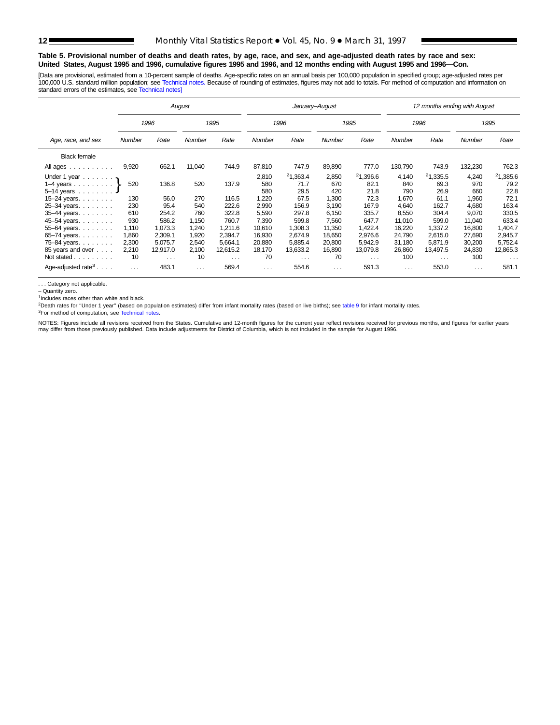#### **Table 5. Provisional number of deaths and death rates, by age, race, and sex, and age-adjusted death rates by race and sex: United States, August 1995 and 1996, cumulative figures 1995 and 1996, and 12 months ending with August 1995 and 1996—Con.**

[Data are provisional, estimated from a 10-percent sample of deaths. Age-specific rates on an annual basis per 100,000 population in specified group; age-adjusted rates per 100,000 U.S. standard million population; see [Technical notes.](#page-16-0) Because of rounding of estimates, figures may not add to totals. For method of computation and information on standard errors of the estimates, see [Technical notes\]](#page-16-0)

|                                                                                                                                                               | August                                   |                                                    |                                           |                                                      |                                                                  | January-August                                                         |                                                                   |                                                                        |                                                                    | 12 months ending with August                                           |                                                                    |                                                                        |
|---------------------------------------------------------------------------------------------------------------------------------------------------------------|------------------------------------------|----------------------------------------------------|-------------------------------------------|------------------------------------------------------|------------------------------------------------------------------|------------------------------------------------------------------------|-------------------------------------------------------------------|------------------------------------------------------------------------|--------------------------------------------------------------------|------------------------------------------------------------------------|--------------------------------------------------------------------|------------------------------------------------------------------------|
|                                                                                                                                                               |                                          | 1996                                               |                                           | 1995                                                 |                                                                  | 1996                                                                   |                                                                   | 1995                                                                   |                                                                    | 1996                                                                   |                                                                    | 1995                                                                   |
| Age, race, and sex                                                                                                                                            | <b>Number</b>                            | Rate                                               | Number                                    | Rate                                                 | <b>Number</b>                                                    | Rate                                                                   | <b>Number</b>                                                     | Rate                                                                   | Number                                                             | Rate                                                                   | <b>Number</b>                                                      | Rate                                                                   |
| <b>Black female</b>                                                                                                                                           |                                          |                                                    |                                           |                                                      |                                                                  |                                                                        |                                                                   |                                                                        |                                                                    |                                                                        |                                                                    |                                                                        |
| All ages                                                                                                                                                      | 9,920                                    | 662.1                                              | 11,040                                    | 744.9                                                | 87,810                                                           | 747.9                                                                  | 89,890                                                            | 777.0                                                                  | 130,790                                                            | 743.9                                                                  | 132,230                                                            | 762.3                                                                  |
| Under 1 year $\ldots \ldots$<br>1–4 years $\ldots \ldots$ .<br>$5-14$ years $\ldots$<br>15–24 years. $\ldots$<br>25-34 years.<br>35-44 years.<br>45-54 years. | 520<br>130<br>230<br>610<br>930<br>1.110 | 136.8<br>56.0<br>95.4<br>254.2<br>586.2<br>1.073.3 | 520<br>270<br>540<br>760<br>1.150<br>.240 | 137.9<br>116.5<br>222.6<br>322.8<br>760.7<br>1.211.6 | 2,810<br>580<br>580<br>.220<br>2.990<br>5,590<br>7.390<br>10.610 | 21,363.4<br>71.7<br>29.5<br>67.5<br>156.9<br>297.8<br>599.8<br>1.308.3 | 2,850<br>670<br>420<br>1,300<br>3.190<br>6,150<br>7.560<br>11.350 | 21,396.6<br>82.1<br>21.8<br>72.3<br>167.9<br>335.7<br>647.7<br>1,422.4 | 4,140<br>840<br>790<br>1.670<br>4.640<br>8,550<br>11,010<br>16,220 | 21,335.5<br>69.3<br>26.9<br>61.1<br>162.7<br>304.4<br>599.0<br>1.337.2 | 4,240<br>970<br>660<br>1,960<br>4.680<br>9,070<br>11,040<br>16,800 | 21,385.6<br>79.2<br>22.8<br>72.1<br>163.4<br>330.5<br>633.4<br>1,404.7 |
| 55-64 years.<br>65-74 years.<br>75-84 years.<br>85 years and over<br>Not stated                                                                               | 1,860<br>2,300<br>2,210<br>10            | 2,309.1<br>5.075.7<br>12,917.0<br>$\cdots$         | 1,920<br>2,540<br>2,100<br>10             | 2,394.7<br>5.664.1<br>12,615.2<br>$\cdots$           | 16,930<br>20,880<br>18,170<br>70                                 | 2.674.9<br>5.885.4<br>13,633.2<br>$\cdots$                             | 18,650<br>20,800<br>16,890<br>70                                  | 2,976.6<br>5.942.9<br>13,079.8<br>$\sim$ $\sim$ $\sim$                 | 24,790<br>31,180<br>26,860<br>100                                  | 2.615.0<br>5.871.9<br>13,497.5<br>$\cdots$                             | 27,690<br>30,200<br>24,830<br>100                                  | 2,945.7<br>5,752.4<br>12,865.3<br>$\cdots$                             |
| Age-adjusted rate <sup>3</sup> $\ldots$ .                                                                                                                     | $\cdots$                                 | 483.1                                              | $\cdots$                                  | 569.4                                                | $\cdots$                                                         | 554.6                                                                  | $\cdots$                                                          | 591.3                                                                  | $\cdots$                                                           | 553.0                                                                  | $\cdots$                                                           | 581.1                                                                  |

. . . Category not applicable.

– Quantity zero.

1Includes races other than white and black.

<sup>2</sup>Death rates for "Under 1 year" (based on population estimates) differ from infant mortality rates (based on live births); see [table 9](#page-15-0) for infant mortality rates.

<sup>3</sup>For method of computation, see [Technical notes.](#page-16-0)

NOTES: Figures include all revisions received from the States. Cumulative and 12-month figures for the current year reflect revisions received for previous months, and figures for earlier years<br>may differ from those previo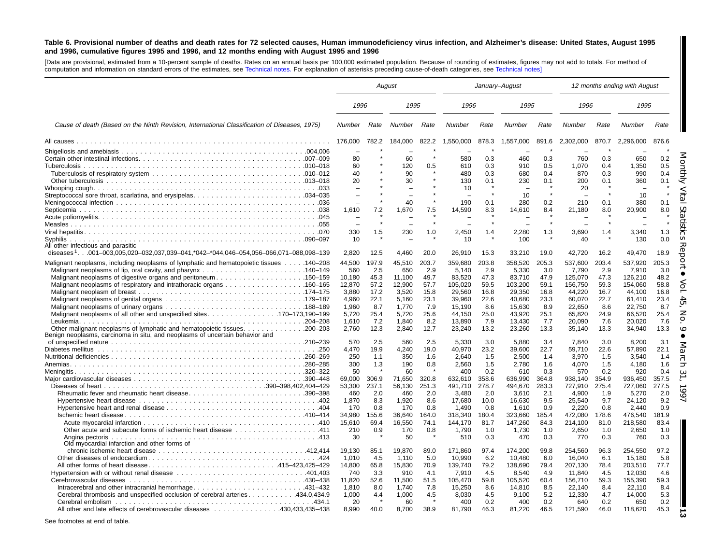#### <span id="page-12-0"></span>Table 6. Provisional number of deaths and death rates for 72 selected causes, Human immunodeficiency virus infection, and Alzheimer's disease: United States, August 1995 and 1996, cumulative figures 1995 and 1996, and 12 months ending with August 1995 and 1996

[Data are provisional, estimated from <sup>a</sup> 10-percent sample of deaths. Rates on an annual basis per 100,000 estimated population. Because of rounding of estimates, figures may not add to totals. For method of computation and information on standard errors of the estimates, see [Technical](#page-16-0) notes. For explanation of asterisks preceding cause-of-death categories, see [Technical](#page-16-0) notes]

| 1996<br>1995<br>1996<br>1995<br>1996<br>1995<br>Cause of death (Based on the Ninth Revision, International Classification of Diseases, 1975)<br>Rate<br>Rate<br>Rate<br>Number<br>Rate<br>Number<br>Number<br>Rate<br>Number<br>Number<br>Rate<br>Number<br>176,000<br>782.2<br>184,000<br>822.2<br>1,550,000<br>878.3<br>1,557,000<br>891.6<br>2,302,000<br>870.7<br>2,296,000<br>876.6<br>$\star$<br>0.3<br>0.3<br>0.2<br>80<br>60<br>580<br>460<br>760<br>0.3<br>650<br>0.5<br>60<br>120<br>0.5<br>610<br>0.3<br>910<br>0.5<br>1.070<br>0.4<br>1.350<br>40<br>0.3<br>90<br>480<br>680<br>870<br>0.3<br>990<br>0.4<br>0.4<br>20<br>130<br>0.1<br>30<br>0.1<br>230<br>0.1<br>200<br>0.1<br>360<br>20<br>10<br>$\overline{\phantom{0}}$<br>10<br>10<br>40<br>190<br>0.1<br>0.2<br>210<br>0.1<br>0.1<br>280<br>380<br>1,610<br>7.2<br>1,670<br>7.5<br>14,590<br>8.3<br>21,180<br>20,900<br>8.0<br>14,610<br>8.4<br>8.0<br>$\star$<br>$\star$<br>1.5<br>1.3<br>330<br>230<br>1.0<br>2,450<br>1.4<br>2,280<br>1.3<br>3,690<br>3,340<br>1.4<br>10<br>0.0<br>Syphilis<br>10<br>100<br>40<br>130<br>diseases <sup>1</sup> 001–003,005,020–032,037,039–041,*042–*044,046–054,056–066,071–088,098–139<br>2,820<br>12.5<br>4,460<br>20.0<br>26,910<br>15.3<br>33,210<br>19.0<br>42,720<br>16.2<br>49,470<br>18.9<br>203.8<br>358,520<br>Malignant neoplasms, including neoplasms of lymphatic and hematopoietic tissues  140-208<br>44,500<br>197.9<br>45.510<br>203.7<br>359.680<br>205.3<br>537.600<br>203.4<br>537.920<br>205.3<br>2.9<br>2.9<br>560<br>2.5<br>650<br>2.9<br>5,140<br>5,330<br>3.0<br>7,790<br>7,910<br>3.0<br>48.2<br>Malignant neoplasms of digestive organs and peritoneum150–159<br>10.180<br>45.3<br>11.100<br>49.7<br>83.520<br>47.3<br>83,710<br>47.9<br>125,070<br>47.3<br>126,210<br>58.8<br>12.870<br>12.900<br>57.7<br>59.5<br>103.200<br>59.1<br>59.3<br>154.060<br>57.2<br>105.020<br>156.750<br>16.8<br>3.880<br>17.2<br>3.520<br>15.8<br>29.560<br>16.8<br>29,350<br>16.8<br>44,220<br>16.7<br>44.100<br>22.1<br>23.1<br>22.6<br>23.3<br>22.7<br>23.4<br>4.960<br>5.160<br>39.960<br>40.680<br>60.070<br>61.410<br>7.9<br>8.7<br>1,960<br>8.7<br>1,770<br>15,190<br>8.6<br>8.9<br>22,650<br>8.6<br>22,750<br>15,630<br>Malignant neoplasms of all other and unspecified sites. 170–173,190–199<br>25.4<br>25.0<br>24.9<br>25.4<br>5,720<br>5,720<br>25.6<br>44,150<br>43,920<br>25.1<br>65,820<br>66,520<br>7.6<br>7.2<br>1.840<br>8.2<br>7.9<br>7.7<br>7.6<br>20.020<br>1.610<br>13.890<br>13.430<br>20.090<br>13.2<br>13.3<br>2,760<br>12.3<br>2,840<br>12.7<br>23,240<br>23,260<br>13.3<br>35,140<br>34,940<br>13.3<br>Benign neoplasms, carcinoma in situ, and neoplasms of uncertain behavior and<br>2.5<br>3.0<br>3.4<br>3.0<br>3.1<br>570<br>560<br>2.5<br>5,330<br>5,880<br>7.840<br>8,200<br>4.470<br>40,970<br>23.2<br>22.7<br>22.6<br>57,890<br>22.1<br>19.9<br>4,240<br>19.0<br>39,600<br>59,710<br>250<br>1.1<br>350<br>1.6<br>2.640<br>1.5<br>2,500<br>1.4<br>3,970<br>1.5<br>3,540<br>1.4<br>1.5<br>300<br>1.3<br>190<br>0.8<br>2.560<br>2,780<br>1.6<br>4,070<br>1.5<br>4.180<br>1.6<br>0.2<br>50<br>60<br>400<br>610<br>0.3<br>570<br>0.2<br>920<br>0.4<br>357.5<br>69.000<br>306.9<br>71.650<br>320.8<br>632.610<br>358.6<br>636,990<br>364.8<br>354.9<br>936.450<br>938.140<br>237.1<br>56.130<br>278.7<br>494,670<br>283.3<br>727,910<br>275.4<br>727,060<br>277.5<br>53,300<br>251.3<br>491.710<br>460<br>2.0<br>2.0<br>2.0<br>2.1<br>1.9<br>2.0<br>Rheumatic fever and rheumatic heart disease390–398<br>460<br>3,480<br>3,610<br>4,900<br>5,270<br>9.2<br>1,870<br>8.3<br>1.920<br>8.6<br>17,680<br>10.0<br>16,630<br>9.5<br>25,540<br>9.7<br>24.120<br>0.8<br>0.9<br>0.9<br>170<br>0.8<br>170<br>0.8<br>1.490<br>1.610<br>2.220<br>0.8<br>2.440<br>323,660<br>34,980<br>155.6<br>36.640<br>318,340<br>180.4<br>185.4<br>472,080<br>178.6<br>476,540<br>181.9<br>164.0<br>15.610<br>16.550<br>81.7<br>84.3<br>214.100<br>218.580<br>83.4<br>69.4<br>74.1<br>144.170<br>147.260<br>81.0<br>111. 411 Other acute and subacute forms of ischemic heart disease 411<br>210<br>0.9<br>170<br>0.8<br>1,790<br>1,730<br>1.0<br>2,650<br>1.0<br>2,650<br>1.0<br>1.0<br>0.3<br>0.3<br>0.3<br>30<br>50<br>510<br>470<br>0.3<br>770<br>760<br>Old myocardial infarction and other forms of<br>19,870<br>96.3<br>254,550<br>97.2<br>19.130<br>85.1<br>89.0<br>171,860<br>97.4<br>174,200<br>99.8<br>254,560<br>1,010<br>4.5<br>1,110<br>5.0<br>10,990<br>6.2<br>10,480<br>6.0<br>16,040<br>15,180<br>5.8<br>6.1<br>77.7<br>All other forms of heart disease415–423,425–429<br>14,800<br>65.8<br>15,830<br>70.9<br>139,740<br>79.2<br>138,690<br>79.4<br>207,130<br>78.4<br>203,510<br>740<br>910<br>7,910<br>4.5<br>8,540<br>4.9<br>11,840<br>4.5<br>12,030<br>4.6<br>Hypertension with or without renal disease 401,403<br>3.3<br>4.1<br>59.3<br>11,820<br>52.6<br>11,500<br>51.5<br>105,470<br>59.8<br>105,520<br>60.4<br>156,710<br>59.3<br>155,390<br>Intracerebral and other intracranial hemorrhage431-432<br>1.810<br>8.0<br>1.740<br>7.8<br>15,250<br>8.6<br>14,810<br>8.5<br>22.140<br>8.4<br>22.110<br>8.4<br>1,000<br>5.3<br>Cerebral thrombosis and unspecified occlusion of cerebral arteries 434.0,434.9<br>1,000<br>4.5<br>5.2<br>12,330<br>14,000<br>4.4<br>4.5<br>8,030<br>9,100<br>4.7<br>0.2<br>20<br>60<br>400<br>0.2<br>400<br>0.2<br>640<br>0.2<br>650<br>All other and late effects of cerebrovascular diseases 430.433.435–438<br>8.990<br>40.0<br>8.700<br>38.9<br>81.790<br>46.3<br>81,220<br>46.5<br>121,590<br>46.0<br>118,620<br>45.3 |                                    |  | August | January-August |  |  |  |  | 12 months ending with August |  |
|--------------------------------------------------------------------------------------------------------------------------------------------------------------------------------------------------------------------------------------------------------------------------------------------------------------------------------------------------------------------------------------------------------------------------------------------------------------------------------------------------------------------------------------------------------------------------------------------------------------------------------------------------------------------------------------------------------------------------------------------------------------------------------------------------------------------------------------------------------------------------------------------------------------------------------------------------------------------------------------------------------------------------------------------------------------------------------------------------------------------------------------------------------------------------------------------------------------------------------------------------------------------------------------------------------------------------------------------------------------------------------------------------------------------------------------------------------------------------------------------------------------------------------------------------------------------------------------------------------------------------------------------------------------------------------------------------------------------------------------------------------------------------------------------------------------------------------------------------------------------------------------------------------------------------------------------------------------------------------------------------------------------------------------------------------------------------------------------------------------------------------------------------------------------------------------------------------------------------------------------------------------------------------------------------------------------------------------------------------------------------------------------------------------------------------------------------------------------------------------------------------------------------------------------------------------------------------------------------------------------------------------------------------------------------------------------------------------------------------------------------------------------------------------------------------------------------------------------------------------------------------------------------------------------------------------------------------------------------------------------------------------------------------------------------------------------------------------------------------------------------------------------------------------------------------------------------------------------------------------------------------------------------------------------------------------------------------------------------------------------------------------------------------------------------------------------------------------------------------------------------------------------------------------------------------------------------------------------------------------------------------------------------------------------------------------------------------------------------------------------------------------------------------------------------------------------------------------------------------------------------------------------------------------------------------------------------------------------------------------------------------------------------------------------------------------------------------------------------------------------------------------------------------------------------------------------------------------------------------------------------------------------------------------------------------------------------------------------------------------------------------------------------------------------------------------------------------------------------------------------------------------------------------------------------------------------------------------------------------------------------------------------------------------------------------------------------------------------------------------------------------------------------------------------------------------------------------------------------------------------------------------------------------------------------------------------------------------------------------------------------------------------------------------------------------------------------------------------------------------------------------------------------------------------------------------------------------------------------------------------------------------------------------------------------------------------------------------------------------------------------------------------------------------------------------------------------------------------------------------------------------------------------------------------------------------------------------------------------------|------------------------------------|--|--------|----------------|--|--|--|--|------------------------------|--|
|                                                                                                                                                                                                                                                                                                                                                                                                                                                                                                                                                                                                                                                                                                                                                                                                                                                                                                                                                                                                                                                                                                                                                                                                                                                                                                                                                                                                                                                                                                                                                                                                                                                                                                                                                                                                                                                                                                                                                                                                                                                                                                                                                                                                                                                                                                                                                                                                                                                                                                                                                                                                                                                                                                                                                                                                                                                                                                                                                                                                                                                                                                                                                                                                                                                                                                                                                                                                                                                                                                                                                                                                                                                                                                                                                                                                                                                                                                                                                                                                                                                                                                                                                                                                                                                                                                                                                                                                                                                                                                                                                                                                                                                                                                                                                                                                                                                                                                                                                                                                                                                                                                                                                                                                                                                                                                                                                                                                                                                                                                                                                                                                        |                                    |  |        |                |  |  |  |  |                              |  |
|                                                                                                                                                                                                                                                                                                                                                                                                                                                                                                                                                                                                                                                                                                                                                                                                                                                                                                                                                                                                                                                                                                                                                                                                                                                                                                                                                                                                                                                                                                                                                                                                                                                                                                                                                                                                                                                                                                                                                                                                                                                                                                                                                                                                                                                                                                                                                                                                                                                                                                                                                                                                                                                                                                                                                                                                                                                                                                                                                                                                                                                                                                                                                                                                                                                                                                                                                                                                                                                                                                                                                                                                                                                                                                                                                                                                                                                                                                                                                                                                                                                                                                                                                                                                                                                                                                                                                                                                                                                                                                                                                                                                                                                                                                                                                                                                                                                                                                                                                                                                                                                                                                                                                                                                                                                                                                                                                                                                                                                                                                                                                                                                        |                                    |  |        |                |  |  |  |  |                              |  |
|                                                                                                                                                                                                                                                                                                                                                                                                                                                                                                                                                                                                                                                                                                                                                                                                                                                                                                                                                                                                                                                                                                                                                                                                                                                                                                                                                                                                                                                                                                                                                                                                                                                                                                                                                                                                                                                                                                                                                                                                                                                                                                                                                                                                                                                                                                                                                                                                                                                                                                                                                                                                                                                                                                                                                                                                                                                                                                                                                                                                                                                                                                                                                                                                                                                                                                                                                                                                                                                                                                                                                                                                                                                                                                                                                                                                                                                                                                                                                                                                                                                                                                                                                                                                                                                                                                                                                                                                                                                                                                                                                                                                                                                                                                                                                                                                                                                                                                                                                                                                                                                                                                                                                                                                                                                                                                                                                                                                                                                                                                                                                                                                        |                                    |  |        |                |  |  |  |  |                              |  |
|                                                                                                                                                                                                                                                                                                                                                                                                                                                                                                                                                                                                                                                                                                                                                                                                                                                                                                                                                                                                                                                                                                                                                                                                                                                                                                                                                                                                                                                                                                                                                                                                                                                                                                                                                                                                                                                                                                                                                                                                                                                                                                                                                                                                                                                                                                                                                                                                                                                                                                                                                                                                                                                                                                                                                                                                                                                                                                                                                                                                                                                                                                                                                                                                                                                                                                                                                                                                                                                                                                                                                                                                                                                                                                                                                                                                                                                                                                                                                                                                                                                                                                                                                                                                                                                                                                                                                                                                                                                                                                                                                                                                                                                                                                                                                                                                                                                                                                                                                                                                                                                                                                                                                                                                                                                                                                                                                                                                                                                                                                                                                                                                        |                                    |  |        |                |  |  |  |  |                              |  |
|                                                                                                                                                                                                                                                                                                                                                                                                                                                                                                                                                                                                                                                                                                                                                                                                                                                                                                                                                                                                                                                                                                                                                                                                                                                                                                                                                                                                                                                                                                                                                                                                                                                                                                                                                                                                                                                                                                                                                                                                                                                                                                                                                                                                                                                                                                                                                                                                                                                                                                                                                                                                                                                                                                                                                                                                                                                                                                                                                                                                                                                                                                                                                                                                                                                                                                                                                                                                                                                                                                                                                                                                                                                                                                                                                                                                                                                                                                                                                                                                                                                                                                                                                                                                                                                                                                                                                                                                                                                                                                                                                                                                                                                                                                                                                                                                                                                                                                                                                                                                                                                                                                                                                                                                                                                                                                                                                                                                                                                                                                                                                                                                        |                                    |  |        |                |  |  |  |  |                              |  |
|                                                                                                                                                                                                                                                                                                                                                                                                                                                                                                                                                                                                                                                                                                                                                                                                                                                                                                                                                                                                                                                                                                                                                                                                                                                                                                                                                                                                                                                                                                                                                                                                                                                                                                                                                                                                                                                                                                                                                                                                                                                                                                                                                                                                                                                                                                                                                                                                                                                                                                                                                                                                                                                                                                                                                                                                                                                                                                                                                                                                                                                                                                                                                                                                                                                                                                                                                                                                                                                                                                                                                                                                                                                                                                                                                                                                                                                                                                                                                                                                                                                                                                                                                                                                                                                                                                                                                                                                                                                                                                                                                                                                                                                                                                                                                                                                                                                                                                                                                                                                                                                                                                                                                                                                                                                                                                                                                                                                                                                                                                                                                                                                        |                                    |  |        |                |  |  |  |  |                              |  |
|                                                                                                                                                                                                                                                                                                                                                                                                                                                                                                                                                                                                                                                                                                                                                                                                                                                                                                                                                                                                                                                                                                                                                                                                                                                                                                                                                                                                                                                                                                                                                                                                                                                                                                                                                                                                                                                                                                                                                                                                                                                                                                                                                                                                                                                                                                                                                                                                                                                                                                                                                                                                                                                                                                                                                                                                                                                                                                                                                                                                                                                                                                                                                                                                                                                                                                                                                                                                                                                                                                                                                                                                                                                                                                                                                                                                                                                                                                                                                                                                                                                                                                                                                                                                                                                                                                                                                                                                                                                                                                                                                                                                                                                                                                                                                                                                                                                                                                                                                                                                                                                                                                                                                                                                                                                                                                                                                                                                                                                                                                                                                                                                        |                                    |  |        |                |  |  |  |  |                              |  |
|                                                                                                                                                                                                                                                                                                                                                                                                                                                                                                                                                                                                                                                                                                                                                                                                                                                                                                                                                                                                                                                                                                                                                                                                                                                                                                                                                                                                                                                                                                                                                                                                                                                                                                                                                                                                                                                                                                                                                                                                                                                                                                                                                                                                                                                                                                                                                                                                                                                                                                                                                                                                                                                                                                                                                                                                                                                                                                                                                                                                                                                                                                                                                                                                                                                                                                                                                                                                                                                                                                                                                                                                                                                                                                                                                                                                                                                                                                                                                                                                                                                                                                                                                                                                                                                                                                                                                                                                                                                                                                                                                                                                                                                                                                                                                                                                                                                                                                                                                                                                                                                                                                                                                                                                                                                                                                                                                                                                                                                                                                                                                                                                        |                                    |  |        |                |  |  |  |  |                              |  |
|                                                                                                                                                                                                                                                                                                                                                                                                                                                                                                                                                                                                                                                                                                                                                                                                                                                                                                                                                                                                                                                                                                                                                                                                                                                                                                                                                                                                                                                                                                                                                                                                                                                                                                                                                                                                                                                                                                                                                                                                                                                                                                                                                                                                                                                                                                                                                                                                                                                                                                                                                                                                                                                                                                                                                                                                                                                                                                                                                                                                                                                                                                                                                                                                                                                                                                                                                                                                                                                                                                                                                                                                                                                                                                                                                                                                                                                                                                                                                                                                                                                                                                                                                                                                                                                                                                                                                                                                                                                                                                                                                                                                                                                                                                                                                                                                                                                                                                                                                                                                                                                                                                                                                                                                                                                                                                                                                                                                                                                                                                                                                                                                        |                                    |  |        |                |  |  |  |  |                              |  |
|                                                                                                                                                                                                                                                                                                                                                                                                                                                                                                                                                                                                                                                                                                                                                                                                                                                                                                                                                                                                                                                                                                                                                                                                                                                                                                                                                                                                                                                                                                                                                                                                                                                                                                                                                                                                                                                                                                                                                                                                                                                                                                                                                                                                                                                                                                                                                                                                                                                                                                                                                                                                                                                                                                                                                                                                                                                                                                                                                                                                                                                                                                                                                                                                                                                                                                                                                                                                                                                                                                                                                                                                                                                                                                                                                                                                                                                                                                                                                                                                                                                                                                                                                                                                                                                                                                                                                                                                                                                                                                                                                                                                                                                                                                                                                                                                                                                                                                                                                                                                                                                                                                                                                                                                                                                                                                                                                                                                                                                                                                                                                                                                        |                                    |  |        |                |  |  |  |  |                              |  |
|                                                                                                                                                                                                                                                                                                                                                                                                                                                                                                                                                                                                                                                                                                                                                                                                                                                                                                                                                                                                                                                                                                                                                                                                                                                                                                                                                                                                                                                                                                                                                                                                                                                                                                                                                                                                                                                                                                                                                                                                                                                                                                                                                                                                                                                                                                                                                                                                                                                                                                                                                                                                                                                                                                                                                                                                                                                                                                                                                                                                                                                                                                                                                                                                                                                                                                                                                                                                                                                                                                                                                                                                                                                                                                                                                                                                                                                                                                                                                                                                                                                                                                                                                                                                                                                                                                                                                                                                                                                                                                                                                                                                                                                                                                                                                                                                                                                                                                                                                                                                                                                                                                                                                                                                                                                                                                                                                                                                                                                                                                                                                                                                        |                                    |  |        |                |  |  |  |  |                              |  |
|                                                                                                                                                                                                                                                                                                                                                                                                                                                                                                                                                                                                                                                                                                                                                                                                                                                                                                                                                                                                                                                                                                                                                                                                                                                                                                                                                                                                                                                                                                                                                                                                                                                                                                                                                                                                                                                                                                                                                                                                                                                                                                                                                                                                                                                                                                                                                                                                                                                                                                                                                                                                                                                                                                                                                                                                                                                                                                                                                                                                                                                                                                                                                                                                                                                                                                                                                                                                                                                                                                                                                                                                                                                                                                                                                                                                                                                                                                                                                                                                                                                                                                                                                                                                                                                                                                                                                                                                                                                                                                                                                                                                                                                                                                                                                                                                                                                                                                                                                                                                                                                                                                                                                                                                                                                                                                                                                                                                                                                                                                                                                                                                        |                                    |  |        |                |  |  |  |  |                              |  |
|                                                                                                                                                                                                                                                                                                                                                                                                                                                                                                                                                                                                                                                                                                                                                                                                                                                                                                                                                                                                                                                                                                                                                                                                                                                                                                                                                                                                                                                                                                                                                                                                                                                                                                                                                                                                                                                                                                                                                                                                                                                                                                                                                                                                                                                                                                                                                                                                                                                                                                                                                                                                                                                                                                                                                                                                                                                                                                                                                                                                                                                                                                                                                                                                                                                                                                                                                                                                                                                                                                                                                                                                                                                                                                                                                                                                                                                                                                                                                                                                                                                                                                                                                                                                                                                                                                                                                                                                                                                                                                                                                                                                                                                                                                                                                                                                                                                                                                                                                                                                                                                                                                                                                                                                                                                                                                                                                                                                                                                                                                                                                                                                        |                                    |  |        |                |  |  |  |  |                              |  |
|                                                                                                                                                                                                                                                                                                                                                                                                                                                                                                                                                                                                                                                                                                                                                                                                                                                                                                                                                                                                                                                                                                                                                                                                                                                                                                                                                                                                                                                                                                                                                                                                                                                                                                                                                                                                                                                                                                                                                                                                                                                                                                                                                                                                                                                                                                                                                                                                                                                                                                                                                                                                                                                                                                                                                                                                                                                                                                                                                                                                                                                                                                                                                                                                                                                                                                                                                                                                                                                                                                                                                                                                                                                                                                                                                                                                                                                                                                                                                                                                                                                                                                                                                                                                                                                                                                                                                                                                                                                                                                                                                                                                                                                                                                                                                                                                                                                                                                                                                                                                                                                                                                                                                                                                                                                                                                                                                                                                                                                                                                                                                                                                        |                                    |  |        |                |  |  |  |  |                              |  |
|                                                                                                                                                                                                                                                                                                                                                                                                                                                                                                                                                                                                                                                                                                                                                                                                                                                                                                                                                                                                                                                                                                                                                                                                                                                                                                                                                                                                                                                                                                                                                                                                                                                                                                                                                                                                                                                                                                                                                                                                                                                                                                                                                                                                                                                                                                                                                                                                                                                                                                                                                                                                                                                                                                                                                                                                                                                                                                                                                                                                                                                                                                                                                                                                                                                                                                                                                                                                                                                                                                                                                                                                                                                                                                                                                                                                                                                                                                                                                                                                                                                                                                                                                                                                                                                                                                                                                                                                                                                                                                                                                                                                                                                                                                                                                                                                                                                                                                                                                                                                                                                                                                                                                                                                                                                                                                                                                                                                                                                                                                                                                                                                        |                                    |  |        |                |  |  |  |  |                              |  |
|                                                                                                                                                                                                                                                                                                                                                                                                                                                                                                                                                                                                                                                                                                                                                                                                                                                                                                                                                                                                                                                                                                                                                                                                                                                                                                                                                                                                                                                                                                                                                                                                                                                                                                                                                                                                                                                                                                                                                                                                                                                                                                                                                                                                                                                                                                                                                                                                                                                                                                                                                                                                                                                                                                                                                                                                                                                                                                                                                                                                                                                                                                                                                                                                                                                                                                                                                                                                                                                                                                                                                                                                                                                                                                                                                                                                                                                                                                                                                                                                                                                                                                                                                                                                                                                                                                                                                                                                                                                                                                                                                                                                                                                                                                                                                                                                                                                                                                                                                                                                                                                                                                                                                                                                                                                                                                                                                                                                                                                                                                                                                                                                        | All other infectious and parasitic |  |        |                |  |  |  |  |                              |  |
|                                                                                                                                                                                                                                                                                                                                                                                                                                                                                                                                                                                                                                                                                                                                                                                                                                                                                                                                                                                                                                                                                                                                                                                                                                                                                                                                                                                                                                                                                                                                                                                                                                                                                                                                                                                                                                                                                                                                                                                                                                                                                                                                                                                                                                                                                                                                                                                                                                                                                                                                                                                                                                                                                                                                                                                                                                                                                                                                                                                                                                                                                                                                                                                                                                                                                                                                                                                                                                                                                                                                                                                                                                                                                                                                                                                                                                                                                                                                                                                                                                                                                                                                                                                                                                                                                                                                                                                                                                                                                                                                                                                                                                                                                                                                                                                                                                                                                                                                                                                                                                                                                                                                                                                                                                                                                                                                                                                                                                                                                                                                                                                                        |                                    |  |        |                |  |  |  |  |                              |  |
|                                                                                                                                                                                                                                                                                                                                                                                                                                                                                                                                                                                                                                                                                                                                                                                                                                                                                                                                                                                                                                                                                                                                                                                                                                                                                                                                                                                                                                                                                                                                                                                                                                                                                                                                                                                                                                                                                                                                                                                                                                                                                                                                                                                                                                                                                                                                                                                                                                                                                                                                                                                                                                                                                                                                                                                                                                                                                                                                                                                                                                                                                                                                                                                                                                                                                                                                                                                                                                                                                                                                                                                                                                                                                                                                                                                                                                                                                                                                                                                                                                                                                                                                                                                                                                                                                                                                                                                                                                                                                                                                                                                                                                                                                                                                                                                                                                                                                                                                                                                                                                                                                                                                                                                                                                                                                                                                                                                                                                                                                                                                                                                                        |                                    |  |        |                |  |  |  |  |                              |  |
|                                                                                                                                                                                                                                                                                                                                                                                                                                                                                                                                                                                                                                                                                                                                                                                                                                                                                                                                                                                                                                                                                                                                                                                                                                                                                                                                                                                                                                                                                                                                                                                                                                                                                                                                                                                                                                                                                                                                                                                                                                                                                                                                                                                                                                                                                                                                                                                                                                                                                                                                                                                                                                                                                                                                                                                                                                                                                                                                                                                                                                                                                                                                                                                                                                                                                                                                                                                                                                                                                                                                                                                                                                                                                                                                                                                                                                                                                                                                                                                                                                                                                                                                                                                                                                                                                                                                                                                                                                                                                                                                                                                                                                                                                                                                                                                                                                                                                                                                                                                                                                                                                                                                                                                                                                                                                                                                                                                                                                                                                                                                                                                                        |                                    |  |        |                |  |  |  |  |                              |  |
|                                                                                                                                                                                                                                                                                                                                                                                                                                                                                                                                                                                                                                                                                                                                                                                                                                                                                                                                                                                                                                                                                                                                                                                                                                                                                                                                                                                                                                                                                                                                                                                                                                                                                                                                                                                                                                                                                                                                                                                                                                                                                                                                                                                                                                                                                                                                                                                                                                                                                                                                                                                                                                                                                                                                                                                                                                                                                                                                                                                                                                                                                                                                                                                                                                                                                                                                                                                                                                                                                                                                                                                                                                                                                                                                                                                                                                                                                                                                                                                                                                                                                                                                                                                                                                                                                                                                                                                                                                                                                                                                                                                                                                                                                                                                                                                                                                                                                                                                                                                                                                                                                                                                                                                                                                                                                                                                                                                                                                                                                                                                                                                                        |                                    |  |        |                |  |  |  |  |                              |  |
|                                                                                                                                                                                                                                                                                                                                                                                                                                                                                                                                                                                                                                                                                                                                                                                                                                                                                                                                                                                                                                                                                                                                                                                                                                                                                                                                                                                                                                                                                                                                                                                                                                                                                                                                                                                                                                                                                                                                                                                                                                                                                                                                                                                                                                                                                                                                                                                                                                                                                                                                                                                                                                                                                                                                                                                                                                                                                                                                                                                                                                                                                                                                                                                                                                                                                                                                                                                                                                                                                                                                                                                                                                                                                                                                                                                                                                                                                                                                                                                                                                                                                                                                                                                                                                                                                                                                                                                                                                                                                                                                                                                                                                                                                                                                                                                                                                                                                                                                                                                                                                                                                                                                                                                                                                                                                                                                                                                                                                                                                                                                                                                                        |                                    |  |        |                |  |  |  |  |                              |  |
|                                                                                                                                                                                                                                                                                                                                                                                                                                                                                                                                                                                                                                                                                                                                                                                                                                                                                                                                                                                                                                                                                                                                                                                                                                                                                                                                                                                                                                                                                                                                                                                                                                                                                                                                                                                                                                                                                                                                                                                                                                                                                                                                                                                                                                                                                                                                                                                                                                                                                                                                                                                                                                                                                                                                                                                                                                                                                                                                                                                                                                                                                                                                                                                                                                                                                                                                                                                                                                                                                                                                                                                                                                                                                                                                                                                                                                                                                                                                                                                                                                                                                                                                                                                                                                                                                                                                                                                                                                                                                                                                                                                                                                                                                                                                                                                                                                                                                                                                                                                                                                                                                                                                                                                                                                                                                                                                                                                                                                                                                                                                                                                                        |                                    |  |        |                |  |  |  |  |                              |  |
|                                                                                                                                                                                                                                                                                                                                                                                                                                                                                                                                                                                                                                                                                                                                                                                                                                                                                                                                                                                                                                                                                                                                                                                                                                                                                                                                                                                                                                                                                                                                                                                                                                                                                                                                                                                                                                                                                                                                                                                                                                                                                                                                                                                                                                                                                                                                                                                                                                                                                                                                                                                                                                                                                                                                                                                                                                                                                                                                                                                                                                                                                                                                                                                                                                                                                                                                                                                                                                                                                                                                                                                                                                                                                                                                                                                                                                                                                                                                                                                                                                                                                                                                                                                                                                                                                                                                                                                                                                                                                                                                                                                                                                                                                                                                                                                                                                                                                                                                                                                                                                                                                                                                                                                                                                                                                                                                                                                                                                                                                                                                                                                                        |                                    |  |        |                |  |  |  |  |                              |  |
|                                                                                                                                                                                                                                                                                                                                                                                                                                                                                                                                                                                                                                                                                                                                                                                                                                                                                                                                                                                                                                                                                                                                                                                                                                                                                                                                                                                                                                                                                                                                                                                                                                                                                                                                                                                                                                                                                                                                                                                                                                                                                                                                                                                                                                                                                                                                                                                                                                                                                                                                                                                                                                                                                                                                                                                                                                                                                                                                                                                                                                                                                                                                                                                                                                                                                                                                                                                                                                                                                                                                                                                                                                                                                                                                                                                                                                                                                                                                                                                                                                                                                                                                                                                                                                                                                                                                                                                                                                                                                                                                                                                                                                                                                                                                                                                                                                                                                                                                                                                                                                                                                                                                                                                                                                                                                                                                                                                                                                                                                                                                                                                                        |                                    |  |        |                |  |  |  |  |                              |  |
|                                                                                                                                                                                                                                                                                                                                                                                                                                                                                                                                                                                                                                                                                                                                                                                                                                                                                                                                                                                                                                                                                                                                                                                                                                                                                                                                                                                                                                                                                                                                                                                                                                                                                                                                                                                                                                                                                                                                                                                                                                                                                                                                                                                                                                                                                                                                                                                                                                                                                                                                                                                                                                                                                                                                                                                                                                                                                                                                                                                                                                                                                                                                                                                                                                                                                                                                                                                                                                                                                                                                                                                                                                                                                                                                                                                                                                                                                                                                                                                                                                                                                                                                                                                                                                                                                                                                                                                                                                                                                                                                                                                                                                                                                                                                                                                                                                                                                                                                                                                                                                                                                                                                                                                                                                                                                                                                                                                                                                                                                                                                                                                                        |                                    |  |        |                |  |  |  |  |                              |  |
|                                                                                                                                                                                                                                                                                                                                                                                                                                                                                                                                                                                                                                                                                                                                                                                                                                                                                                                                                                                                                                                                                                                                                                                                                                                                                                                                                                                                                                                                                                                                                                                                                                                                                                                                                                                                                                                                                                                                                                                                                                                                                                                                                                                                                                                                                                                                                                                                                                                                                                                                                                                                                                                                                                                                                                                                                                                                                                                                                                                                                                                                                                                                                                                                                                                                                                                                                                                                                                                                                                                                                                                                                                                                                                                                                                                                                                                                                                                                                                                                                                                                                                                                                                                                                                                                                                                                                                                                                                                                                                                                                                                                                                                                                                                                                                                                                                                                                                                                                                                                                                                                                                                                                                                                                                                                                                                                                                                                                                                                                                                                                                                                        |                                    |  |        |                |  |  |  |  |                              |  |
|                                                                                                                                                                                                                                                                                                                                                                                                                                                                                                                                                                                                                                                                                                                                                                                                                                                                                                                                                                                                                                                                                                                                                                                                                                                                                                                                                                                                                                                                                                                                                                                                                                                                                                                                                                                                                                                                                                                                                                                                                                                                                                                                                                                                                                                                                                                                                                                                                                                                                                                                                                                                                                                                                                                                                                                                                                                                                                                                                                                                                                                                                                                                                                                                                                                                                                                                                                                                                                                                                                                                                                                                                                                                                                                                                                                                                                                                                                                                                                                                                                                                                                                                                                                                                                                                                                                                                                                                                                                                                                                                                                                                                                                                                                                                                                                                                                                                                                                                                                                                                                                                                                                                                                                                                                                                                                                                                                                                                                                                                                                                                                                                        |                                    |  |        |                |  |  |  |  |                              |  |
|                                                                                                                                                                                                                                                                                                                                                                                                                                                                                                                                                                                                                                                                                                                                                                                                                                                                                                                                                                                                                                                                                                                                                                                                                                                                                                                                                                                                                                                                                                                                                                                                                                                                                                                                                                                                                                                                                                                                                                                                                                                                                                                                                                                                                                                                                                                                                                                                                                                                                                                                                                                                                                                                                                                                                                                                                                                                                                                                                                                                                                                                                                                                                                                                                                                                                                                                                                                                                                                                                                                                                                                                                                                                                                                                                                                                                                                                                                                                                                                                                                                                                                                                                                                                                                                                                                                                                                                                                                                                                                                                                                                                                                                                                                                                                                                                                                                                                                                                                                                                                                                                                                                                                                                                                                                                                                                                                                                                                                                                                                                                                                                                        |                                    |  |        |                |  |  |  |  |                              |  |
|                                                                                                                                                                                                                                                                                                                                                                                                                                                                                                                                                                                                                                                                                                                                                                                                                                                                                                                                                                                                                                                                                                                                                                                                                                                                                                                                                                                                                                                                                                                                                                                                                                                                                                                                                                                                                                                                                                                                                                                                                                                                                                                                                                                                                                                                                                                                                                                                                                                                                                                                                                                                                                                                                                                                                                                                                                                                                                                                                                                                                                                                                                                                                                                                                                                                                                                                                                                                                                                                                                                                                                                                                                                                                                                                                                                                                                                                                                                                                                                                                                                                                                                                                                                                                                                                                                                                                                                                                                                                                                                                                                                                                                                                                                                                                                                                                                                                                                                                                                                                                                                                                                                                                                                                                                                                                                                                                                                                                                                                                                                                                                                                        |                                    |  |        |                |  |  |  |  |                              |  |
|                                                                                                                                                                                                                                                                                                                                                                                                                                                                                                                                                                                                                                                                                                                                                                                                                                                                                                                                                                                                                                                                                                                                                                                                                                                                                                                                                                                                                                                                                                                                                                                                                                                                                                                                                                                                                                                                                                                                                                                                                                                                                                                                                                                                                                                                                                                                                                                                                                                                                                                                                                                                                                                                                                                                                                                                                                                                                                                                                                                                                                                                                                                                                                                                                                                                                                                                                                                                                                                                                                                                                                                                                                                                                                                                                                                                                                                                                                                                                                                                                                                                                                                                                                                                                                                                                                                                                                                                                                                                                                                                                                                                                                                                                                                                                                                                                                                                                                                                                                                                                                                                                                                                                                                                                                                                                                                                                                                                                                                                                                                                                                                                        |                                    |  |        |                |  |  |  |  |                              |  |
|                                                                                                                                                                                                                                                                                                                                                                                                                                                                                                                                                                                                                                                                                                                                                                                                                                                                                                                                                                                                                                                                                                                                                                                                                                                                                                                                                                                                                                                                                                                                                                                                                                                                                                                                                                                                                                                                                                                                                                                                                                                                                                                                                                                                                                                                                                                                                                                                                                                                                                                                                                                                                                                                                                                                                                                                                                                                                                                                                                                                                                                                                                                                                                                                                                                                                                                                                                                                                                                                                                                                                                                                                                                                                                                                                                                                                                                                                                                                                                                                                                                                                                                                                                                                                                                                                                                                                                                                                                                                                                                                                                                                                                                                                                                                                                                                                                                                                                                                                                                                                                                                                                                                                                                                                                                                                                                                                                                                                                                                                                                                                                                                        |                                    |  |        |                |  |  |  |  |                              |  |
|                                                                                                                                                                                                                                                                                                                                                                                                                                                                                                                                                                                                                                                                                                                                                                                                                                                                                                                                                                                                                                                                                                                                                                                                                                                                                                                                                                                                                                                                                                                                                                                                                                                                                                                                                                                                                                                                                                                                                                                                                                                                                                                                                                                                                                                                                                                                                                                                                                                                                                                                                                                                                                                                                                                                                                                                                                                                                                                                                                                                                                                                                                                                                                                                                                                                                                                                                                                                                                                                                                                                                                                                                                                                                                                                                                                                                                                                                                                                                                                                                                                                                                                                                                                                                                                                                                                                                                                                                                                                                                                                                                                                                                                                                                                                                                                                                                                                                                                                                                                                                                                                                                                                                                                                                                                                                                                                                                                                                                                                                                                                                                                                        |                                    |  |        |                |  |  |  |  |                              |  |
|                                                                                                                                                                                                                                                                                                                                                                                                                                                                                                                                                                                                                                                                                                                                                                                                                                                                                                                                                                                                                                                                                                                                                                                                                                                                                                                                                                                                                                                                                                                                                                                                                                                                                                                                                                                                                                                                                                                                                                                                                                                                                                                                                                                                                                                                                                                                                                                                                                                                                                                                                                                                                                                                                                                                                                                                                                                                                                                                                                                                                                                                                                                                                                                                                                                                                                                                                                                                                                                                                                                                                                                                                                                                                                                                                                                                                                                                                                                                                                                                                                                                                                                                                                                                                                                                                                                                                                                                                                                                                                                                                                                                                                                                                                                                                                                                                                                                                                                                                                                                                                                                                                                                                                                                                                                                                                                                                                                                                                                                                                                                                                                                        |                                    |  |        |                |  |  |  |  |                              |  |
|                                                                                                                                                                                                                                                                                                                                                                                                                                                                                                                                                                                                                                                                                                                                                                                                                                                                                                                                                                                                                                                                                                                                                                                                                                                                                                                                                                                                                                                                                                                                                                                                                                                                                                                                                                                                                                                                                                                                                                                                                                                                                                                                                                                                                                                                                                                                                                                                                                                                                                                                                                                                                                                                                                                                                                                                                                                                                                                                                                                                                                                                                                                                                                                                                                                                                                                                                                                                                                                                                                                                                                                                                                                                                                                                                                                                                                                                                                                                                                                                                                                                                                                                                                                                                                                                                                                                                                                                                                                                                                                                                                                                                                                                                                                                                                                                                                                                                                                                                                                                                                                                                                                                                                                                                                                                                                                                                                                                                                                                                                                                                                                                        |                                    |  |        |                |  |  |  |  |                              |  |
|                                                                                                                                                                                                                                                                                                                                                                                                                                                                                                                                                                                                                                                                                                                                                                                                                                                                                                                                                                                                                                                                                                                                                                                                                                                                                                                                                                                                                                                                                                                                                                                                                                                                                                                                                                                                                                                                                                                                                                                                                                                                                                                                                                                                                                                                                                                                                                                                                                                                                                                                                                                                                                                                                                                                                                                                                                                                                                                                                                                                                                                                                                                                                                                                                                                                                                                                                                                                                                                                                                                                                                                                                                                                                                                                                                                                                                                                                                                                                                                                                                                                                                                                                                                                                                                                                                                                                                                                                                                                                                                                                                                                                                                                                                                                                                                                                                                                                                                                                                                                                                                                                                                                                                                                                                                                                                                                                                                                                                                                                                                                                                                                        |                                    |  |        |                |  |  |  |  |                              |  |
|                                                                                                                                                                                                                                                                                                                                                                                                                                                                                                                                                                                                                                                                                                                                                                                                                                                                                                                                                                                                                                                                                                                                                                                                                                                                                                                                                                                                                                                                                                                                                                                                                                                                                                                                                                                                                                                                                                                                                                                                                                                                                                                                                                                                                                                                                                                                                                                                                                                                                                                                                                                                                                                                                                                                                                                                                                                                                                                                                                                                                                                                                                                                                                                                                                                                                                                                                                                                                                                                                                                                                                                                                                                                                                                                                                                                                                                                                                                                                                                                                                                                                                                                                                                                                                                                                                                                                                                                                                                                                                                                                                                                                                                                                                                                                                                                                                                                                                                                                                                                                                                                                                                                                                                                                                                                                                                                                                                                                                                                                                                                                                                                        |                                    |  |        |                |  |  |  |  |                              |  |
|                                                                                                                                                                                                                                                                                                                                                                                                                                                                                                                                                                                                                                                                                                                                                                                                                                                                                                                                                                                                                                                                                                                                                                                                                                                                                                                                                                                                                                                                                                                                                                                                                                                                                                                                                                                                                                                                                                                                                                                                                                                                                                                                                                                                                                                                                                                                                                                                                                                                                                                                                                                                                                                                                                                                                                                                                                                                                                                                                                                                                                                                                                                                                                                                                                                                                                                                                                                                                                                                                                                                                                                                                                                                                                                                                                                                                                                                                                                                                                                                                                                                                                                                                                                                                                                                                                                                                                                                                                                                                                                                                                                                                                                                                                                                                                                                                                                                                                                                                                                                                                                                                                                                                                                                                                                                                                                                                                                                                                                                                                                                                                                                        |                                    |  |        |                |  |  |  |  |                              |  |
|                                                                                                                                                                                                                                                                                                                                                                                                                                                                                                                                                                                                                                                                                                                                                                                                                                                                                                                                                                                                                                                                                                                                                                                                                                                                                                                                                                                                                                                                                                                                                                                                                                                                                                                                                                                                                                                                                                                                                                                                                                                                                                                                                                                                                                                                                                                                                                                                                                                                                                                                                                                                                                                                                                                                                                                                                                                                                                                                                                                                                                                                                                                                                                                                                                                                                                                                                                                                                                                                                                                                                                                                                                                                                                                                                                                                                                                                                                                                                                                                                                                                                                                                                                                                                                                                                                                                                                                                                                                                                                                                                                                                                                                                                                                                                                                                                                                                                                                                                                                                                                                                                                                                                                                                                                                                                                                                                                                                                                                                                                                                                                                                        |                                    |  |        |                |  |  |  |  |                              |  |
|                                                                                                                                                                                                                                                                                                                                                                                                                                                                                                                                                                                                                                                                                                                                                                                                                                                                                                                                                                                                                                                                                                                                                                                                                                                                                                                                                                                                                                                                                                                                                                                                                                                                                                                                                                                                                                                                                                                                                                                                                                                                                                                                                                                                                                                                                                                                                                                                                                                                                                                                                                                                                                                                                                                                                                                                                                                                                                                                                                                                                                                                                                                                                                                                                                                                                                                                                                                                                                                                                                                                                                                                                                                                                                                                                                                                                                                                                                                                                                                                                                                                                                                                                                                                                                                                                                                                                                                                                                                                                                                                                                                                                                                                                                                                                                                                                                                                                                                                                                                                                                                                                                                                                                                                                                                                                                                                                                                                                                                                                                                                                                                                        |                                    |  |        |                |  |  |  |  |                              |  |
|                                                                                                                                                                                                                                                                                                                                                                                                                                                                                                                                                                                                                                                                                                                                                                                                                                                                                                                                                                                                                                                                                                                                                                                                                                                                                                                                                                                                                                                                                                                                                                                                                                                                                                                                                                                                                                                                                                                                                                                                                                                                                                                                                                                                                                                                                                                                                                                                                                                                                                                                                                                                                                                                                                                                                                                                                                                                                                                                                                                                                                                                                                                                                                                                                                                                                                                                                                                                                                                                                                                                                                                                                                                                                                                                                                                                                                                                                                                                                                                                                                                                                                                                                                                                                                                                                                                                                                                                                                                                                                                                                                                                                                                                                                                                                                                                                                                                                                                                                                                                                                                                                                                                                                                                                                                                                                                                                                                                                                                                                                                                                                                                        |                                    |  |        |                |  |  |  |  |                              |  |
|                                                                                                                                                                                                                                                                                                                                                                                                                                                                                                                                                                                                                                                                                                                                                                                                                                                                                                                                                                                                                                                                                                                                                                                                                                                                                                                                                                                                                                                                                                                                                                                                                                                                                                                                                                                                                                                                                                                                                                                                                                                                                                                                                                                                                                                                                                                                                                                                                                                                                                                                                                                                                                                                                                                                                                                                                                                                                                                                                                                                                                                                                                                                                                                                                                                                                                                                                                                                                                                                                                                                                                                                                                                                                                                                                                                                                                                                                                                                                                                                                                                                                                                                                                                                                                                                                                                                                                                                                                                                                                                                                                                                                                                                                                                                                                                                                                                                                                                                                                                                                                                                                                                                                                                                                                                                                                                                                                                                                                                                                                                                                                                                        |                                    |  |        |                |  |  |  |  |                              |  |
|                                                                                                                                                                                                                                                                                                                                                                                                                                                                                                                                                                                                                                                                                                                                                                                                                                                                                                                                                                                                                                                                                                                                                                                                                                                                                                                                                                                                                                                                                                                                                                                                                                                                                                                                                                                                                                                                                                                                                                                                                                                                                                                                                                                                                                                                                                                                                                                                                                                                                                                                                                                                                                                                                                                                                                                                                                                                                                                                                                                                                                                                                                                                                                                                                                                                                                                                                                                                                                                                                                                                                                                                                                                                                                                                                                                                                                                                                                                                                                                                                                                                                                                                                                                                                                                                                                                                                                                                                                                                                                                                                                                                                                                                                                                                                                                                                                                                                                                                                                                                                                                                                                                                                                                                                                                                                                                                                                                                                                                                                                                                                                                                        |                                    |  |        |                |  |  |  |  |                              |  |
|                                                                                                                                                                                                                                                                                                                                                                                                                                                                                                                                                                                                                                                                                                                                                                                                                                                                                                                                                                                                                                                                                                                                                                                                                                                                                                                                                                                                                                                                                                                                                                                                                                                                                                                                                                                                                                                                                                                                                                                                                                                                                                                                                                                                                                                                                                                                                                                                                                                                                                                                                                                                                                                                                                                                                                                                                                                                                                                                                                                                                                                                                                                                                                                                                                                                                                                                                                                                                                                                                                                                                                                                                                                                                                                                                                                                                                                                                                                                                                                                                                                                                                                                                                                                                                                                                                                                                                                                                                                                                                                                                                                                                                                                                                                                                                                                                                                                                                                                                                                                                                                                                                                                                                                                                                                                                                                                                                                                                                                                                                                                                                                                        |                                    |  |        |                |  |  |  |  |                              |  |
|                                                                                                                                                                                                                                                                                                                                                                                                                                                                                                                                                                                                                                                                                                                                                                                                                                                                                                                                                                                                                                                                                                                                                                                                                                                                                                                                                                                                                                                                                                                                                                                                                                                                                                                                                                                                                                                                                                                                                                                                                                                                                                                                                                                                                                                                                                                                                                                                                                                                                                                                                                                                                                                                                                                                                                                                                                                                                                                                                                                                                                                                                                                                                                                                                                                                                                                                                                                                                                                                                                                                                                                                                                                                                                                                                                                                                                                                                                                                                                                                                                                                                                                                                                                                                                                                                                                                                                                                                                                                                                                                                                                                                                                                                                                                                                                                                                                                                                                                                                                                                                                                                                                                                                                                                                                                                                                                                                                                                                                                                                                                                                                                        |                                    |  |        |                |  |  |  |  |                              |  |
|                                                                                                                                                                                                                                                                                                                                                                                                                                                                                                                                                                                                                                                                                                                                                                                                                                                                                                                                                                                                                                                                                                                                                                                                                                                                                                                                                                                                                                                                                                                                                                                                                                                                                                                                                                                                                                                                                                                                                                                                                                                                                                                                                                                                                                                                                                                                                                                                                                                                                                                                                                                                                                                                                                                                                                                                                                                                                                                                                                                                                                                                                                                                                                                                                                                                                                                                                                                                                                                                                                                                                                                                                                                                                                                                                                                                                                                                                                                                                                                                                                                                                                                                                                                                                                                                                                                                                                                                                                                                                                                                                                                                                                                                                                                                                                                                                                                                                                                                                                                                                                                                                                                                                                                                                                                                                                                                                                                                                                                                                                                                                                                                        |                                    |  |        |                |  |  |  |  |                              |  |
|                                                                                                                                                                                                                                                                                                                                                                                                                                                                                                                                                                                                                                                                                                                                                                                                                                                                                                                                                                                                                                                                                                                                                                                                                                                                                                                                                                                                                                                                                                                                                                                                                                                                                                                                                                                                                                                                                                                                                                                                                                                                                                                                                                                                                                                                                                                                                                                                                                                                                                                                                                                                                                                                                                                                                                                                                                                                                                                                                                                                                                                                                                                                                                                                                                                                                                                                                                                                                                                                                                                                                                                                                                                                                                                                                                                                                                                                                                                                                                                                                                                                                                                                                                                                                                                                                                                                                                                                                                                                                                                                                                                                                                                                                                                                                                                                                                                                                                                                                                                                                                                                                                                                                                                                                                                                                                                                                                                                                                                                                                                                                                                                        |                                    |  |        |                |  |  |  |  |                              |  |
|                                                                                                                                                                                                                                                                                                                                                                                                                                                                                                                                                                                                                                                                                                                                                                                                                                                                                                                                                                                                                                                                                                                                                                                                                                                                                                                                                                                                                                                                                                                                                                                                                                                                                                                                                                                                                                                                                                                                                                                                                                                                                                                                                                                                                                                                                                                                                                                                                                                                                                                                                                                                                                                                                                                                                                                                                                                                                                                                                                                                                                                                                                                                                                                                                                                                                                                                                                                                                                                                                                                                                                                                                                                                                                                                                                                                                                                                                                                                                                                                                                                                                                                                                                                                                                                                                                                                                                                                                                                                                                                                                                                                                                                                                                                                                                                                                                                                                                                                                                                                                                                                                                                                                                                                                                                                                                                                                                                                                                                                                                                                                                                                        |                                    |  |        |                |  |  |  |  |                              |  |
|                                                                                                                                                                                                                                                                                                                                                                                                                                                                                                                                                                                                                                                                                                                                                                                                                                                                                                                                                                                                                                                                                                                                                                                                                                                                                                                                                                                                                                                                                                                                                                                                                                                                                                                                                                                                                                                                                                                                                                                                                                                                                                                                                                                                                                                                                                                                                                                                                                                                                                                                                                                                                                                                                                                                                                                                                                                                                                                                                                                                                                                                                                                                                                                                                                                                                                                                                                                                                                                                                                                                                                                                                                                                                                                                                                                                                                                                                                                                                                                                                                                                                                                                                                                                                                                                                                                                                                                                                                                                                                                                                                                                                                                                                                                                                                                                                                                                                                                                                                                                                                                                                                                                                                                                                                                                                                                                                                                                                                                                                                                                                                                                        |                                    |  |        |                |  |  |  |  |                              |  |
|                                                                                                                                                                                                                                                                                                                                                                                                                                                                                                                                                                                                                                                                                                                                                                                                                                                                                                                                                                                                                                                                                                                                                                                                                                                                                                                                                                                                                                                                                                                                                                                                                                                                                                                                                                                                                                                                                                                                                                                                                                                                                                                                                                                                                                                                                                                                                                                                                                                                                                                                                                                                                                                                                                                                                                                                                                                                                                                                                                                                                                                                                                                                                                                                                                                                                                                                                                                                                                                                                                                                                                                                                                                                                                                                                                                                                                                                                                                                                                                                                                                                                                                                                                                                                                                                                                                                                                                                                                                                                                                                                                                                                                                                                                                                                                                                                                                                                                                                                                                                                                                                                                                                                                                                                                                                                                                                                                                                                                                                                                                                                                                                        |                                    |  |        |                |  |  |  |  |                              |  |
|                                                                                                                                                                                                                                                                                                                                                                                                                                                                                                                                                                                                                                                                                                                                                                                                                                                                                                                                                                                                                                                                                                                                                                                                                                                                                                                                                                                                                                                                                                                                                                                                                                                                                                                                                                                                                                                                                                                                                                                                                                                                                                                                                                                                                                                                                                                                                                                                                                                                                                                                                                                                                                                                                                                                                                                                                                                                                                                                                                                                                                                                                                                                                                                                                                                                                                                                                                                                                                                                                                                                                                                                                                                                                                                                                                                                                                                                                                                                                                                                                                                                                                                                                                                                                                                                                                                                                                                                                                                                                                                                                                                                                                                                                                                                                                                                                                                                                                                                                                                                                                                                                                                                                                                                                                                                                                                                                                                                                                                                                                                                                                                                        |                                    |  |        |                |  |  |  |  |                              |  |
|                                                                                                                                                                                                                                                                                                                                                                                                                                                                                                                                                                                                                                                                                                                                                                                                                                                                                                                                                                                                                                                                                                                                                                                                                                                                                                                                                                                                                                                                                                                                                                                                                                                                                                                                                                                                                                                                                                                                                                                                                                                                                                                                                                                                                                                                                                                                                                                                                                                                                                                                                                                                                                                                                                                                                                                                                                                                                                                                                                                                                                                                                                                                                                                                                                                                                                                                                                                                                                                                                                                                                                                                                                                                                                                                                                                                                                                                                                                                                                                                                                                                                                                                                                                                                                                                                                                                                                                                                                                                                                                                                                                                                                                                                                                                                                                                                                                                                                                                                                                                                                                                                                                                                                                                                                                                                                                                                                                                                                                                                                                                                                                                        |                                    |  |        |                |  |  |  |  |                              |  |

See footnotes at end of table.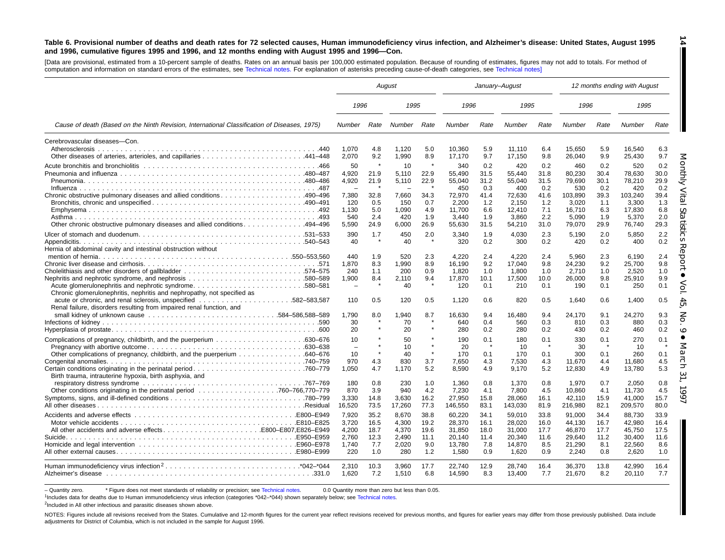#### Table 6. Provisional number of deaths and death rates for 72 selected causes, Human immunodeficiency virus infection, and Alzheimer's disease: United States, August 1995 and 1996, cumulative figures 1995 and 1996, and 12 months ending with August 1995 and 1996-Con.

**14**

H

[Data are provisional, estimated from <sup>a</sup> 10-percent sample of deaths. Rates on an annual basis per 100,000 estimated population. Because of rounding of estimates, figures may not add to totals. For method of computation and information on standard errors of the estimates, see [Technical](#page-16-0) notes. For explanation of asterisks preceding cause-of-death categories, see [Technical](#page-16-0) notes]

|                                                                                                                                   | August                                                   |                                            |                                                  |                                            |                                                         |                                            | January-August                                          |                                            |                                                         |                                            | 12 months ending with August                            |                                            |
|-----------------------------------------------------------------------------------------------------------------------------------|----------------------------------------------------------|--------------------------------------------|--------------------------------------------------|--------------------------------------------|---------------------------------------------------------|--------------------------------------------|---------------------------------------------------------|--------------------------------------------|---------------------------------------------------------|--------------------------------------------|---------------------------------------------------------|--------------------------------------------|
|                                                                                                                                   | 1996                                                     |                                            | 1995                                             |                                            | 1996                                                    |                                            | 1995                                                    |                                            | 1996                                                    |                                            | 1995                                                    |                                            |
| Cause of death (Based on the Ninth Revision, International Classification of Diseases, 1975)                                      | Number                                                   | Rate                                       | Number                                           | Rate                                       | Number                                                  | Rate                                       | Number                                                  | Rate                                       | Number                                                  | Rate                                       | <b>Number</b>                                           | Rate                                       |
| Cerebrovascular diseases-Con.<br>Atherosclerosis                                                                                  | 1,070<br>2,070                                           | 4.8<br>9.2                                 | 1,120<br>1,990                                   | 5.0<br>8.9                                 | 10,360<br>17,170                                        | 5.9<br>9.7                                 | 11,110<br>17,150                                        | 6.4<br>9.8                                 | 15,650<br>26,040                                        | 5.9<br>9.9                                 | 16,540<br>25,430                                        | 6.3<br>9.7                                 |
|                                                                                                                                   | 50<br>4.920<br>4,920<br>$\overline{\phantom{a}}$         | 21.9<br>21.9                               | 10<br>5.110<br>5,110<br>$\overline{\phantom{0}}$ | $\star$<br>22.9<br>22.9                    | 340<br>55.490<br>55,040<br>450                          | 0.2<br>31.5<br>31.2<br>0.3                 | 420<br>55.440<br>55,040<br>400                          | 0.2<br>31.8<br>31.5<br>0.2                 | 460<br>80.230<br>79,690<br>530                          | 0.2<br>30.4<br>30.1<br>0.2                 | 520<br>78.630<br>78,210<br>420                          | 0.2<br>30.0<br>29.9<br>0.2                 |
| Chronic obstructive pulmonary diseases and allied conditions490–496                                                               | 7,380<br>120<br>1.130<br>540<br>5,590                    | 32.8<br>0.5<br>5.0<br>2.4<br>24.9          | 7,660<br>150<br>1.090<br>420<br>6,000            | 34.3<br>0.7<br>4.9<br>1.9<br>26.9          | 72,970<br>2,200<br>11,700<br>3,440<br>55,630            | 41.4<br>1.2<br>6.6<br>1.9<br>31.5          | 72,630<br>2,150<br>12,410<br>3,860<br>54,210            | 41.6<br>1.2<br>7.1<br>2.2<br>31.0          | 103,890<br>3,020<br>16,710<br>5,090<br>79,070           | 39.3<br>1.1<br>6.3<br>1.9<br>29.9          | 103,240<br>3,300<br>17,830<br>5,370<br>76,740           | 39.4<br>1.3<br>6.8<br>2.0<br>29.3          |
| Hernia of abdominal cavity and intestinal obstruction without                                                                     | 390<br>40                                                | 1.7                                        | 450<br>40                                        | 2.0                                        | 3,340<br>320                                            | 1.9<br>0.2                                 | 4,030<br>300                                            | 2.3<br>0.2                                 | 5,190<br>420                                            | 2.0<br>0.2                                 | 5,850<br>400                                            | 2.2<br>0.2                                 |
| Acute glomerulonephritis and nephrotic syndrome580–581<br>Chronic glomerulonephritis, nephritis and nephropathy, not specified as | 440<br>1,870<br>240<br>1,900<br>$\overline{\phantom{a}}$ | 1.9<br>8.3<br>1.1<br>8.4                   | 520<br>1.990<br>200<br>2.110<br>40               | 2.3<br>8.9<br>0.9<br>9.4                   | 4.220<br>16,190<br>1,820<br>17,870<br>120               | 2.4<br>9.2<br>1.0<br>10.1<br>0.1           | 4,220<br>17,040<br>1,800<br>17.500<br>210               | 2.4<br>9.8<br>1.0<br>10.0<br>0.1           | 5,960<br>24,230<br>2,710<br>26.000<br>190               | 2.3<br>9.2<br>1.0<br>9.8<br>0.1            | 6.190<br>25,700<br>2,520<br>25.910<br>250               | 2.4<br>ెర<br>9.8<br>1.0<br>9.9<br>0.1      |
| Renal failure, disorders resulting from impaired renal function, and                                                              | 110<br>1.790<br>30<br>20                                 | 0.5<br>8.0                                 | 120<br>1.940<br>70<br>20                         | 0.5<br>8.7                                 | 1.120<br>16.630<br>640<br>280                           | 0.6<br>9.4<br>0.4<br>0.2                   | 820<br>16.480<br>560<br>280                             | 0.5<br>9.4<br>0.3<br>0.2                   | 1.640<br>24.170<br>810<br>430                           | 0.6<br>9.1<br>0.3<br>0.2                   | 1,400<br>24,270<br>880<br>460                           | 0.5<br>9.3<br>0.3<br>0.2                   |
| Birth trauma, intrauterine hypoxia, birth asphyxia, and                                                                           | 10<br>10<br>970<br>1,050                                 | 4.3<br>4.7                                 | 50<br>10<br>40<br>830<br>1,170                   | $\star$<br>3.7<br>5.2                      | 190<br>20<br>170<br>7,650<br>8,590                      | 0.1<br>0.1<br>4.3<br>4.9                   | 180<br>10<br>170<br>7,530<br>9,170                      | 0.1<br>$\star$<br>0.1<br>4.3<br>5.2        | 330<br>30<br>300<br>11,670<br>12,830                    | 0.1<br>0.1<br>4.4<br>4.9                   | 270<br>10<br>260<br>11,680<br>13,780                    | 0.1<br>0.1<br>4.5<br>5.3                   |
| respiratory distress syndrome contact and contact and contact the contact of the contact of the contact of the                    | 180<br>870<br>3,330<br>16,520                            | 0.8<br>3.9<br>14.8<br>73.5                 | 230<br>940<br>3,630<br>17,260                    | 1.0<br>4.2<br>16.2<br>77.3                 | 1.360<br>7,230<br>27,950<br>146,550                     | 0.8<br>4.1<br>15.8<br>83.1                 | 1.370<br>7,800<br>28,060<br>143,030                     | 0.8<br>4.5<br>16.1<br>81.9                 | 1.970<br>10.860<br>42,110<br>216,980                    | 0.7<br>4.1<br>15.9<br>82.1                 | 2.050<br>11.730<br>41,000<br>209,570                    | 0.8<br>4.5<br>15.7<br>80.0                 |
| All other accidents and adverse effectsE800-E807,E826-E949                                                                        | 7,920<br>3,720<br>4,200<br>2.760<br>1.740<br>220         | 35.2<br>16.5<br>18.7<br>12.3<br>7.7<br>1.0 | 8.670<br>4,300<br>4,370<br>2.490<br>2,020<br>280 | 38.8<br>19.2<br>19.6<br>11.1<br>9.0<br>1.2 | 60,220<br>28,370<br>31,850<br>20,140<br>13,780<br>1,580 | 34.1<br>16.1<br>18.0<br>11.4<br>7.8<br>0.9 | 59,010<br>28,020<br>31,000<br>20,340<br>14,870<br>1,620 | 33.8<br>16.0<br>17.7<br>11.6<br>8.5<br>0.9 | 91.000<br>44,130<br>46,870<br>29.640<br>21,290<br>2,240 | 34.4<br>16.7<br>17.7<br>11.2<br>8.1<br>0.8 | 88.730<br>42,980<br>45,750<br>30.400<br>22,560<br>2,620 | 33.9<br>16.4<br>17.5<br>11.6<br>8.6<br>1.0 |
|                                                                                                                                   | 2.310<br>1,620                                           | 10.3<br>7.2                                | 3.960<br>1,510                                   | 17.7<br>6.8                                | 22.740<br>14,590                                        | 12.9<br>8.3                                | 28.740<br>13,400                                        | 16.4<br>7.7                                | 36.370<br>21,670                                        | 13.8<br>8.2                                | 42.990<br>20,110                                        | 16.4<br>7.7                                |

- Quantity zero. \* Figure does not meet standards of reliability or precision; see [Technical](#page-16-0) notes. 0.0 Quantity more than zero but less than 0.05.

1Includes data for deaths due to Human immunodeficiency virus infection (categories \*042–\*044) shown separately below; see [Technical](#page-16-0) notes.

<sup>2</sup>Included in All other infectious and parasitic diseases shown above.

NOTES: Figures include all revisions received from the States. Cumulative and 12-month figures for the current year reflect revisions received for previous months, and figures for earlier years may differ from those previo adjustments for District of Columbia, which is not included in the sample for August 1996.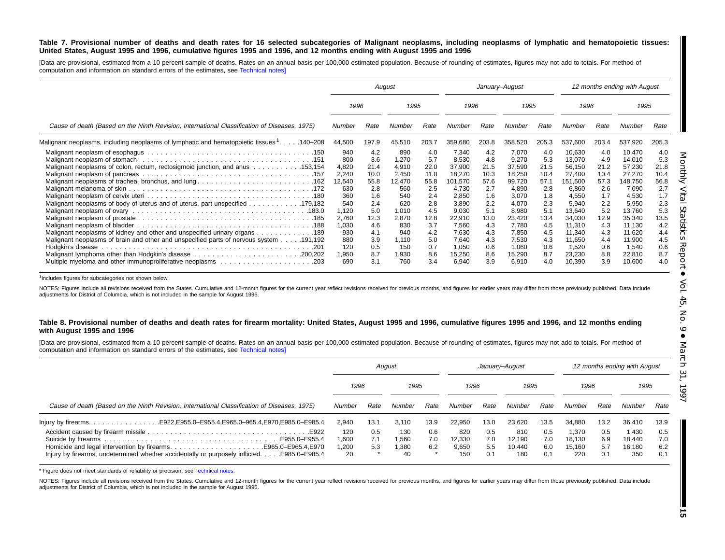#### Table 7. Provisional number of deaths and death rates for 16 selected subcategories of Malignant neoplasms, including neoplasms of lymphatic and hematopoietic tissues: United States, August 1995 and 1996, cumulative figures 1995 and 1996, and 12 months ending with August 1995 and 1996

[Data are provisional, estimated from a 10-percent sample of deaths. Rates on an annual basis per 100,000 estimated population. Because of rounding of estimates, figures may not add to totals. For method of computation and information on standard errors of the estimates, see [Technical](#page-16-0) notes]

|                                                                                                                                                                                                                                                                                        | August                                                              |                                                              |                                                                     |                                                              |                                                                                 |                                                              | January-August                                                                  |                                                                     |                                                                                               |                                                                     | 12 months ending with August                                                         |                                                              |
|----------------------------------------------------------------------------------------------------------------------------------------------------------------------------------------------------------------------------------------------------------------------------------------|---------------------------------------------------------------------|--------------------------------------------------------------|---------------------------------------------------------------------|--------------------------------------------------------------|---------------------------------------------------------------------------------|--------------------------------------------------------------|---------------------------------------------------------------------------------|---------------------------------------------------------------------|-----------------------------------------------------------------------------------------------|---------------------------------------------------------------------|--------------------------------------------------------------------------------------|--------------------------------------------------------------|
|                                                                                                                                                                                                                                                                                        | 1996                                                                |                                                              | 1995                                                                |                                                              | 1996                                                                            |                                                              | 1995                                                                            |                                                                     | 1996                                                                                          |                                                                     | 1995                                                                                 |                                                              |
| Cause of death (Based on the Ninth Revision, International Classification of Diseases, 1975)                                                                                                                                                                                           | Number                                                              | Rate                                                         | Number                                                              | Rate                                                         | Number                                                                          | Rate                                                         | Number                                                                          | Rate                                                                | Number                                                                                        | Rate                                                                | Number                                                                               | Rate                                                         |
| Malignant neoplasms, including neoplasms of lymphatic and hematopoietic tissues 1. 140–208                                                                                                                                                                                             | 44,500                                                              | 197.9                                                        | 45,510                                                              | 203.7                                                        | 359,680                                                                         | 203.8                                                        | 358,520                                                                         | 205.3                                                               | 537,600                                                                                       | 203.4                                                               | 537,920                                                                              | 205.3                                                        |
| Malignant neoplasms of colon, rectum, rectosigmoid junction, and anus 153,154<br>Malignant neoplasms of trachea, bronchus, and lung 162                                                                                                                                                | 940<br>800<br>4,820<br>2,240<br>12,540<br>630<br>360                | 4.2<br>3.6<br>21.4<br>10.0<br>55.8<br>2.8<br>1.6             | 890<br>1,270<br>4,910<br>2,450<br>12.470<br>560<br>540              | 4.0<br>5.7<br>22.0<br>11.0<br>55.8<br>2.5<br>2.4             | 7,340<br>8,530<br>37,900<br>18,270<br>101,570<br>4,730<br>2,850                 | 4.2<br>4.8<br>21.5<br>10.3<br>57.6<br>2.7<br>1.6             | 7,070<br>9,270<br>37,590<br>18,250<br>99,720<br>4,890<br>3,070                  | 4.0<br>5.3<br>21.5<br>10.4<br>57.1<br>2.8                           | 10,630<br>13,070<br>56,150<br>27,400<br>151.500<br>6,860                                      | 4.0<br>4.9<br>21.2<br>10.4<br>57.3<br>2.6                           | 10,470<br>14,010<br>57,230<br>27,270<br>148,750<br>7,090<br>4,530                    | 4.0<br>5.3<br>21.8<br>10.4<br>56.8<br>2.7<br>1.7             |
| 183.0. Malignant neoplasm of ovary excessive contained and contact contained a series of Malignant neoplasm of<br>Malignant neoplasms of kidney and other and unspecified urinary organs 189<br>Malignant neoplasms of brain and other and unspecified parts of nervous system 191,192 | 540<br>1,120<br>2,760<br>1,030<br>930<br>880<br>120<br>1,950<br>690 | 2.4<br>5.0<br>12.3<br>4.6<br>4.1<br>3.9<br>0.5<br>8.7<br>3.1 | 620<br>1,010<br>2,870<br>830<br>940<br>1.110<br>150<br>1,930<br>760 | 2.8<br>4.5<br>12.8<br>3.7<br>4.2<br>5.0<br>0.7<br>8.6<br>3.4 | 3,890<br>9,030<br>22,910<br>7,560<br>7,630<br>7,640<br>1,050<br>15,250<br>6,940 | 2.2<br>5.1<br>13.0<br>4.3<br>4.3<br>4.3<br>0.6<br>8.6<br>3.9 | 4,070<br>8,980<br>23,420<br>7,780<br>7,850<br>7,530<br>1,060<br>15,290<br>6,910 | 1.8<br>2.3<br>5.1<br>13.4<br>4.5<br>4.5<br>4.3<br>0.6<br>8.7<br>4.0 | 4,550<br>5,940<br>13.640<br>34,030<br>11,310<br>11.340<br>11,650<br>1,520<br>23,230<br>10,390 | 1.7<br>2.2<br>5.2<br>12.9<br>4.3<br>4.3<br>4.4<br>0.6<br>8.8<br>3.9 | 5,950<br>13,760<br>35,340<br>11,130<br>11,620<br>11,900<br>1,540<br>22,810<br>10,600 | 2.3<br>5.3<br>13.5<br>4.2<br>4.4<br>4.5<br>0.6<br>8.7<br>4.0 |

<sup>1</sup>Includes figures for subcategories not shown below.

NOTES: Figures include all revisions received from the States. Cumulative and 12-month figures for the current year reflect revisions received for previous months, and figures for earlier years may differ from those previo adjustments for District of Columbia, which is not included in the sample for August 1996.

#### Table 8. Provisional number of deaths and death rates for firearm mortality: United States, August 1995 and 1996, cumulative figures 1995 and 1996, and 12 months ending **with August 1995 and 1996**

[Data are provisional, estimated from a 10-percent sample of deaths. Rates on an annual basis per 100,000 estimated population. Because of rounding of estimates, figures may not add to totals. For method of computation and information on standard errors of the estimates, see [Technical](#page-16-0) notes]

|                                                                                                                                                                 |                              |                   | August                     |                   |                               |                          | January-August                 |                          |                                  |                          | 12 months ending with August     |                          |
|-----------------------------------------------------------------------------------------------------------------------------------------------------------------|------------------------------|-------------------|----------------------------|-------------------|-------------------------------|--------------------------|--------------------------------|--------------------------|----------------------------------|--------------------------|----------------------------------|--------------------------|
|                                                                                                                                                                 | 1996                         |                   | 1995                       |                   | 1996                          |                          | 1995                           |                          | 1996                             |                          | 1995                             |                          |
| Cause of death (Based on the Ninth Revision, International Classification of Diseases, 1975)                                                                    |                              | Rate              | Number                     | Rate              | Number                        | Rate                     | Number                         | Rate                     | Number                           | Rate                     | Number                           | Rate                     |
| lnjury by firearms. E922, E955.0-E955.4, E965.0-965.4, E970, E985.0-E985.4                                                                                      | 2.940                        | 13.1              | 3.110                      | 13.9              | 22.950                        | 13.0                     | 23.620                         | 13.5                     | 34.880                           | 13.2                     | 36,410                           | 13.9                     |
| Homicide and legal intervention by firearmsE965.0–E965.4.E970<br>Injury by firearms, undetermined whether accidentally or purposely inflicted.<br>E985.0-E985.4 | 120<br>.600 ا<br>1.200<br>20 | 0.5<br>7.1<br>5.3 | 130<br>.560<br>.380،<br>40 | 0.6<br>7.0<br>6.2 | 820<br>12.330<br>9,650<br>150 | 0.5<br>7.0<br>5.5<br>0.1 | 810<br>12.190<br>10.440<br>180 | 0.5<br>7.0<br>6.0<br>0.1 | 1.370<br>18.130<br>15.160<br>220 | 0.5<br>6.9<br>5.7<br>0.1 | 1.430<br>18.440<br>16.180<br>350 | 0.5<br>7.0<br>6.2<br>0.1 |

\* Figure does not meet standards of reliability or precision; see [Technical](#page-16-0) notes.

NOTES: Figures include all revisions received from the States. Cumulative and 12-month figures for the current year reflect revisions received for previous months, and figures for earlier years may differ from those previo adjustments for District of Columbia, which is not included in the sample for August 1996.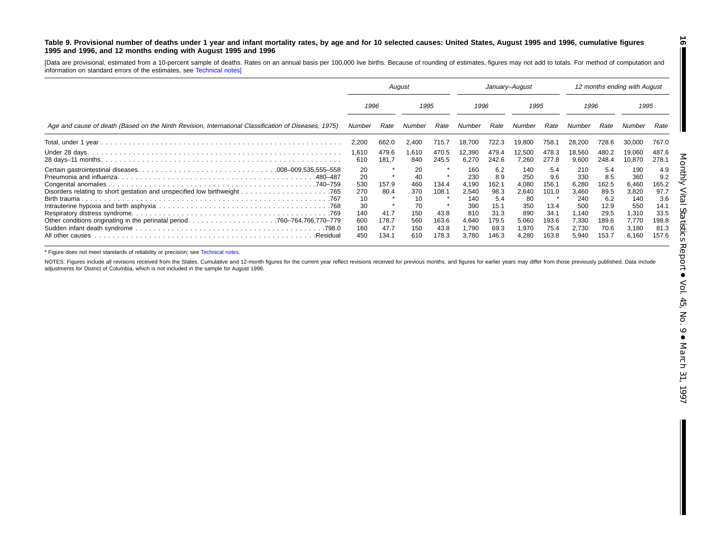#### <span id="page-15-0"></span>Table 9. Provisional number of deaths under 1 year and infant mortality rates, by age and for 10 selected causes: United States, August 1995 and 1996, cumulative figures **1995 and 1996, and 12 months ending with August 1995 and 1996**

[Data are provisional, estimated from <sup>a</sup> 10-percent sample of deaths. Rates on an annual basis per 100,000 live births. Because of rounding of estimates, figures may not add to totals. For method of computation and information on standard errors of the estimates, see [Technical](#page-16-0) notes]

|                                                                                                      | August                                                  |                                        |                                                         |                                         | January-August                                                      |                                                                     |                                                                    |                                                               | 12 months ending with August                                          |                                                                     |                                                                       |                                                                     |
|------------------------------------------------------------------------------------------------------|---------------------------------------------------------|----------------------------------------|---------------------------------------------------------|-----------------------------------------|---------------------------------------------------------------------|---------------------------------------------------------------------|--------------------------------------------------------------------|---------------------------------------------------------------|-----------------------------------------------------------------------|---------------------------------------------------------------------|-----------------------------------------------------------------------|---------------------------------------------------------------------|
|                                                                                                      | 1996                                                    |                                        | 1995                                                    |                                         | 1996                                                                |                                                                     | 1995                                                               |                                                               | 1996                                                                  |                                                                     | 1995                                                                  |                                                                     |
| Age and cause of death (Based on the Ninth Revision, International Classification of Diseases, 1975) | Number                                                  | Rate                                   | Number                                                  | Rate                                    | Number                                                              | Rate                                                                | Number                                                             | Rate                                                          | Number                                                                | Rate                                                                | Number                                                                | Rate                                                                |
|                                                                                                      | 2,200                                                   | 662.0                                  | 2,400                                                   | 715.7                                   | 18,700                                                              | 722.3                                                               | 19.800                                                             | 758.1                                                         | 28,200                                                                | 728.6                                                               | 30,000                                                                | 767.0                                                               |
|                                                                                                      | 1.610<br>610                                            | 479.6<br>181.7                         | 1,610<br>840                                            | 470.5<br>245.5                          | 12,390<br>6,270                                                     | 479.4<br>242.6                                                      | 12,500<br>7,260                                                    | 478.3<br>277.8                                                | 18,560<br>9,600                                                       | 480.2<br>248.4                                                      | 19.060<br>10,870                                                      | 487.6<br>278.1                                                      |
| .480–487                                                                                             | 20<br>20<br>530<br>270<br>10<br>30<br>140<br>600<br>160 | 157.9<br>80.4<br>41.7<br>178.7<br>47.7 | 20<br>40<br>460<br>370<br>10<br>70<br>150<br>560<br>150 | 134.4<br>108.1<br>43.8<br>163.6<br>43.8 | 160<br>230<br>4.190<br>2,540<br>140<br>390<br>810<br>4,640<br>1,790 | 6.2<br>8.9<br>162.1<br>98.3<br>5.4<br>15.1<br>31.3<br>179.5<br>69.3 | 140<br>250<br>4.080<br>2,640<br>80<br>350<br>890<br>5,060<br>1,970 | 5.4<br>9.6<br>156.1<br>101.0<br>13.4<br>34.1<br>193.6<br>75.4 | 210<br>330<br>6,280<br>3,460<br>240<br>500<br>1.140<br>7.330<br>2,730 | 5.4<br>8.5<br>162.5<br>89.5<br>6.2<br>12.9<br>29.5<br>189.6<br>70.6 | 190<br>360<br>6,460<br>3,820<br>140<br>550<br>1,310<br>7,770<br>3,180 | 4.9<br>9.2<br>165.2<br>97.7<br>3.6<br>14.1<br>33.5<br>198.8<br>81.3 |
| .Residual                                                                                            | 450                                                     | 134.1                                  | 610                                                     | 178.3                                   | 3.780                                                               | 146.3                                                               | 4,280                                                              | 163.8                                                         | 5.940                                                                 | 153.7                                                               | 6,160                                                                 | 157.6                                                               |

\* Figure does not meet standards of reliability or precision; see [Technical](#page-16-0) notes.

NOTES: Figures include all revisions received from the States. Cumulative and 12-month figures for the current year reflect revisions received for previous months, and figures for earlier years may differ from those previo adjustments for District of Columbia, which is not included in the sample for August 1996.

**16**

П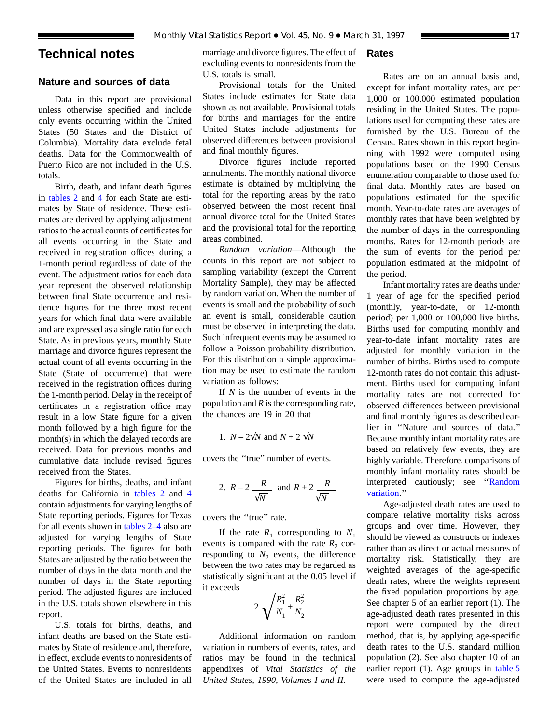## <span id="page-16-0"></span>**Technical notes**

## **Nature and sources of data**

Data in this report are provisional unless otherwise specified and include only events occurring within the United States (50 States and the District of Columbia). Mortality data exclude fetal deaths. Data for the Commonwealth of Puerto Rico are not included in the U.S. totals.

Birth, death, and infant death figures in [tables 2](#page-6-0) and [4](#page-8-0) for each State are estimates by State of residence. These estimates are derived by applying adjustment ratios to the actual counts of certificates for all events occurring in the State and received in registration offices during a 1-month period regardless of date of the event. The adjustment ratios for each data year represent the observed relationship between final State occurrence and residence figures for the three most recent years for which final data were available and are expressed as a single ratio for each State. As in previous years, monthly State marriage and divorce figures represent the actual count of all events occurring in the State (State of occurrence) that were received in the registration offices during the 1-month period. Delay in the receipt of certificates in a registration office may result in a low State figure for a given month followed by a high figure for the month(s) in which the delayed records are received. Data for previous months and cumulative data include revised figures received from the States.

Figures for births, deaths, and infant deaths for California in [tables 2](#page-6-0) and [4](#page-8-0) contain adjustments for varying lengths of State reporting periods. Figures for Texas for all events shown in [tables 2–4](#page-6-0) also are adjusted for varying lengths of State reporting periods. The figures for both States are adjusted by the ratio between the number of days in the data month and the number of days in the State reporting period. The adjusted figures are included in the U.S. totals shown elsewhere in this report.

U.S. totals for births, deaths, and infant deaths are based on the State estimates by State of residence and, therefore, in effect, exclude events to nonresidents of the United States. Events to nonresidents of the United States are included in all

marriage and divorce figures. The effect of excluding events to nonresidents from the U.S. totals is small.

Provisional totals for the United States include estimates for State data shown as not available. Provisional totals for births and marriages for the entire United States include adjustments for observed differences between provisional and final monthly figures.

Divorce figures include reported annulments. The monthly national divorce estimate is obtained by multiplying the total for the reporting areas by the ratio observed between the most recent final annual divorce total for the United States and the provisional total for the reporting areas combined.

*Random variation*—Although the counts in this report are not subject to sampling variability (except the Current Mortality Sample), they may be affected by random variation. When the number of events is small and the probability of such an event is small, considerable caution must be observed in interpreting the data. Such infrequent events may be assumed to follow a Poisson probability distribution. For this distribution a simple approximation may be used to estimate the random variation as follows:

If *N* is the number of events in the population and *R* is the corresponding rate, the chances are 19 in 20 that

1. 
$$
N - 2\sqrt{N}
$$
 and  $N + 2\sqrt{N}$ 

covers the ''true'' number of events.

2. 
$$
R-2
$$
  $\frac{R}{\sqrt{N}}$  and  $R+2$   $\frac{R}{\sqrt{N}}$ 

covers the ''true'' rate.

If the rate  $R_1$  corresponding to  $N_1$ events is compared with the rate  $R_2$  corresponding to  $N_2$  events, the difference between the two rates may be regarded as statistically significant at the 0.05 level if it exceeds

$$
2\sqrt{\frac{R_1^2}{N_1} + \frac{R_2^2}{N_2}}
$$

Additional information on random variation in numbers of events, rates, and ratios may be found in the technical appendixes of *Vital Statistics of the United States, 1990, Volumes I and II.*

## **Rates**

Rates are on an annual basis and, except for infant mortality rates, are per 1,000 or 100,000 estimated population residing in the United States. The populations used for computing these rates are furnished by the U.S. Bureau of the Census. Rates shown in this report beginning with 1992 were computed using populations based on the 1990 Census enumeration comparable to those used for final data. Monthly rates are based on populations estimated for the specific month. Year-to-date rates are averages of monthly rates that have been weighted by the number of days in the corresponding months. Rates for 12-month periods are the sum of events for the period per population estimated at the midpoint of the period.

Infant mortality rates are deaths under 1 year of age for the specified period (monthly, year-to-date, or 12-month period) per 1,000 or 100,000 live births. Births used for computing monthly and year-to-date infant mortality rates are adjusted for monthly variation in the number of births. Births used to compute 12-month rates do not contain this adjustment. Births used for computing infant mortality rates are not corrected for observed differences between provisional and final monthly figures as described earlier in ''Nature and sources of data.'' Because monthly infant mortality rates are based on relatively few events, they are highly variable. Therefore, comparisons of monthly infant mortality rates should be interpreted cautiously; see ''Random variation.''

Age-adjusted death rates are used to compare relative mortality risks across groups and over time. However, they should be viewed as constructs or indexes rather than as direct or actual measures of mortality risk. Statistically, they are weighted averages of the age-specific death rates, where the weights represent the fixed population proportions by age. See chapter 5 of an earlier report (1). The age-adjusted death rates presented in this report were computed by the direct method, that is, by applying age-specific death rates to the U.S. standard million population (2). See also chapter 10 of an earlier report (1). Age groups in [table 5](#page-9-0) were used to compute the age-adjusted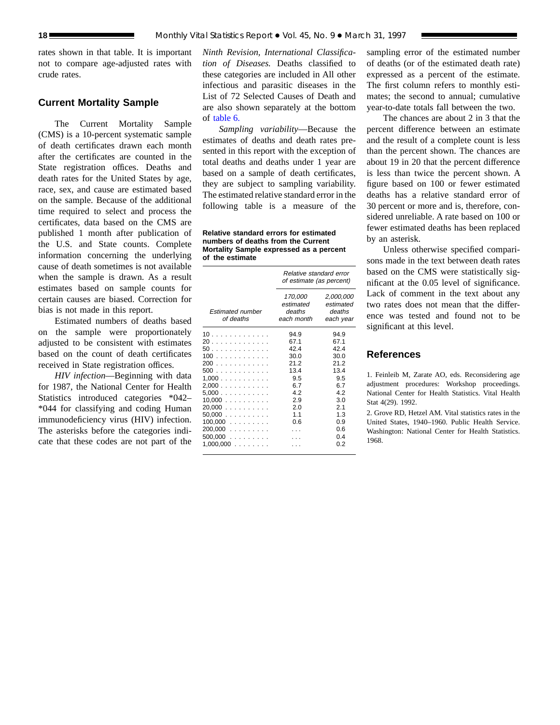rates shown in that table. It is important not to compare age-adjusted rates with crude rates.

## **Current Mortality Sample**

The Current Mortality Sample (CMS) is a 10-percent systematic sample of death certificates drawn each month after the certificates are counted in the State registration offices. Deaths and death rates for the United States by age, race, sex, and cause are estimated based on the sample. Because of the additional time required to select and process the certificates, data based on the CMS are published 1 month after publication of the U.S. and State counts. Complete information concerning the underlying cause of death sometimes is not available when the sample is drawn. As a result estimates based on sample counts for certain causes are biased. Correction for bias is not made in this report.

Estimated numbers of deaths based on the sample were proportionately adjusted to be consistent with estimates based on the count of death certificates received in State registration offices.

*HIV infection*—Beginning with data for 1987, the National Center for Health Statistics introduced categories \*042– \*044 for classifying and coding Human immunodeficiency virus (HIV) infection. The asterisks before the categories indicate that these codes are not part of the

*Ninth Revision, International Classification of Diseases.* Deaths classified to these categories are included in All other infectious and parasitic diseases in the List of 72 Selected Causes of Death and are also shown separately at the bottom of [table 6.](#page-12-0)

*Sampling variability*—Because the estimates of deaths and death rates presented in this report with the exception of total deaths and deaths under 1 year are based on a sample of death certificates, they are subject to sampling variability. The estimated relative standard error in the following table is a measure of the

**Relative standard errors for estimated numbers of deaths from the Current Mortality Sample expressed as a percent of the estimate**

|                                                                                                                                           | Relative standard error<br>of estimate (as percent)                                         |                                                                                                        |  |  |  |  |  |
|-------------------------------------------------------------------------------------------------------------------------------------------|---------------------------------------------------------------------------------------------|--------------------------------------------------------------------------------------------------------|--|--|--|--|--|
| Estimated number<br>of deaths                                                                                                             | 170,000<br>estimated<br>deaths<br>each month                                                | 2,000,000<br>estimated<br>deaths<br>each year                                                          |  |  |  |  |  |
| 10<br>20<br>50<br>100<br>200<br>500<br>1.000<br>2,000<br>5,000<br>$10,000$<br>$20,000$<br>$50,000$<br>$100,000$<br>$200,000$<br>$500,000$ | 94.9<br>67.1<br>42.4<br>30.0<br>21.2<br>13.4<br>9.5<br>6.7<br>42<br>2.9<br>2.0<br>11<br>0.6 | 94.9<br>67.1<br>424<br>30.0<br>212<br>13.4<br>9.5<br>67<br>42<br>3.0<br>2.1<br>1.3<br>0.9<br>0.6<br>04 |  |  |  |  |  |
| $1,000,000$                                                                                                                               |                                                                                             | 0 2                                                                                                    |  |  |  |  |  |

sampling error of the estimated number of deaths (or of the estimated death rate) expressed as a percent of the estimate. The first column refers to monthly estimates; the second to annual; cumulative year-to-date totals fall between the two.

The chances are about 2 in 3 that the percent difference between an estimate and the result of a complete count is less than the percent shown. The chances are about 19 in 20 that the percent difference is less than twice the percent shown. A figure based on 100 or fewer estimated deaths has a relative standard error of 30 percent or more and is, therefore, considered unreliable. A rate based on 100 or fewer estimated deaths has been replaced by an asterisk.

Unless otherwise specified comparisons made in the text between death rates based on the CMS were statistically significant at the 0.05 level of significance. Lack of comment in the text about any two rates does not mean that the difference was tested and found not to be significant at this level.

### **References**

1. Feinleib M, Zarate AO, eds. Reconsidering age adjustment procedures: Workshop proceedings. National Center for Health Statistics. Vital Health Stat 4(29). 1992.

2. Grove RD, Hetzel AM. Vital statistics rates in the United States, 1940–1960. Public Health Service. Washington: National Center for Health Statistics. 1968.